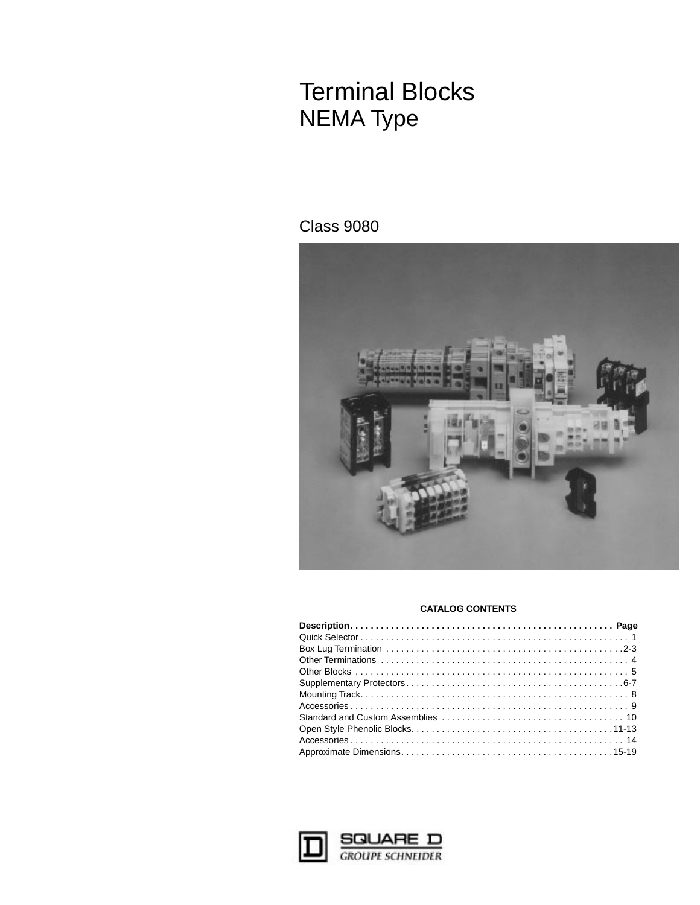# Terminal Blocks NEMA Type

## Class 9080



#### **CATALOG CONTENTS**

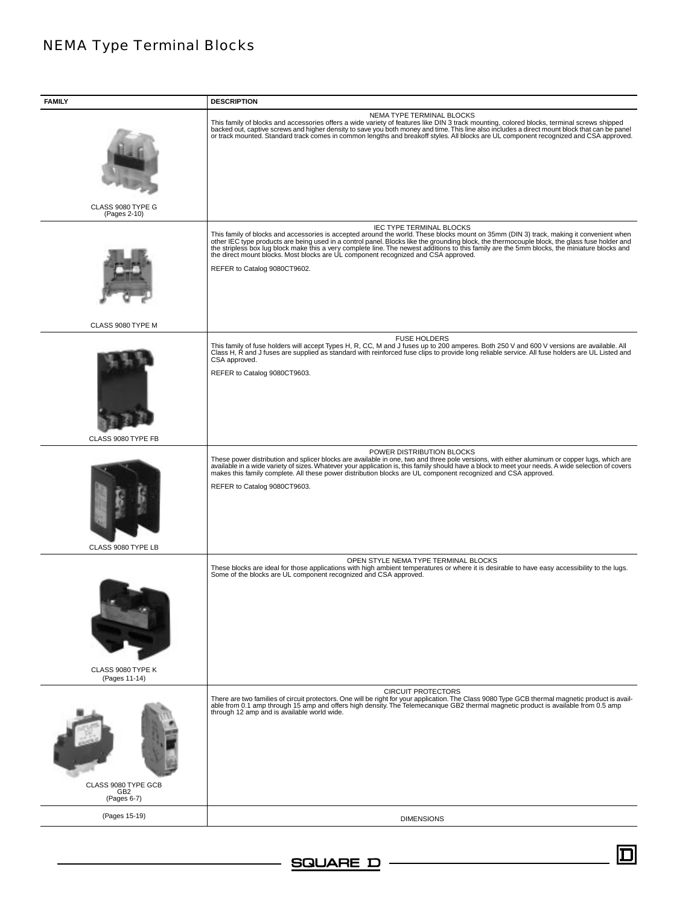## NEMA Type Terminal Blocks

| <b>FAMILY</b>                                         | <b>DESCRIPTION</b>                                                                                                                                                                                                                                                                                                                                                                                                                                                                                                                                                                         |
|-------------------------------------------------------|--------------------------------------------------------------------------------------------------------------------------------------------------------------------------------------------------------------------------------------------------------------------------------------------------------------------------------------------------------------------------------------------------------------------------------------------------------------------------------------------------------------------------------------------------------------------------------------------|
|                                                       | NEMA TYPE TERMINAL BLOCKS<br>This family of blocks and accessories offers a wide variety of features like DIN 3 track mounting, colored blocks, terminal screws shipped<br>backed out, captive screws and higher density to save you both money and time. This line also includes a direct mount block that can be panel<br>or track mounted. Standard track comes in common lengths and breakoff styles. All blocks are UL component recognized and CSA approved.                                                                                                                         |
| CLASS 9080 TYPE G<br>(Pages 2-10)                     |                                                                                                                                                                                                                                                                                                                                                                                                                                                                                                                                                                                            |
| CLASS 9080 TYPE M                                     | IEC TYPE TERMINAL BLOCKS<br>This family of blocks and accessories is accepted around the world. These blocks mount on 35mm (DIN 3) track, making it convenient when<br>other IEC type products are being used in a control panel. Blocks like the grounding block, the thermocouple block, the glass fuse holder and<br>the stripless box lug block make this a very complete line. The newest additions to this family are the 5mm blocks, the miniature blocks and<br>the direct mount blocks. Most blocks are UL component recognized and CSA approved.<br>REFER to Catalog 9080CT9602. |
|                                                       | <b>FUSE HOLDERS</b>                                                                                                                                                                                                                                                                                                                                                                                                                                                                                                                                                                        |
| CLASS 9080 TYPE FB                                    | This family of fuse holders will accept Types H, R, CC, M and J fuses up to 200 amperes. Both 250 V and 600 V versions are available. All<br>Class H, R and J fuses are supplied as standard with reinforced fuse clips to provide long reliable service. All fuse holders are UL Listed and<br>CSA approved.<br>REFER to Catalog 9080CT9603.                                                                                                                                                                                                                                              |
|                                                       | POWER DISTRIBUTION BLOCKS                                                                                                                                                                                                                                                                                                                                                                                                                                                                                                                                                                  |
| CLASS 9080 TYPE LB                                    | These power distribution and splicer blocks are available in one, two and three pole versions, with either aluminum or copper lugs, which are available in a wide variety of sizes. Whatever your application is, this family<br>makes this family complete. All these power distribution blocks are UL component recognized and CSA approved.<br>REFER to Catalog 9080CT9603.                                                                                                                                                                                                             |
|                                                       | OPEN STYLE NEMA TYPE TERMINAL BLOCKS<br>These blocks are ideal for those applications with high ambient temperatures or where it is desirable to have easy accessibility to the lugs.                                                                                                                                                                                                                                                                                                                                                                                                      |
| CLASS 9080 TYPE K<br>(Pages 11-14)                    | Some of the blocks are UL component recognized and CSA approved.                                                                                                                                                                                                                                                                                                                                                                                                                                                                                                                           |
|                                                       | <b>CIRCUIT PROTECTORS</b><br>There are two families of circuit protectors. One will be right for your application. The Class 9080 Type GCB thermal magnetic product is avail-                                                                                                                                                                                                                                                                                                                                                                                                              |
| CLASS 9080 TYPE GCB<br>GB <sub>2</sub><br>(Pages 6-7) | able from 0.1 amp through 15 amp and offers high density. The Telemecanique GB2 thermal magnetic product is available from 0.5 amp<br>through 12 amp and is available world wide.                                                                                                                                                                                                                                                                                                                                                                                                          |
| (Pages 15-19)                                         | <b>DIMENSIONS</b>                                                                                                                                                                                                                                                                                                                                                                                                                                                                                                                                                                          |
|                                                       |                                                                                                                                                                                                                                                                                                                                                                                                                                                                                                                                                                                            |

 $SQUARE$   $D$   $-$ 

 $\mathbf{D}$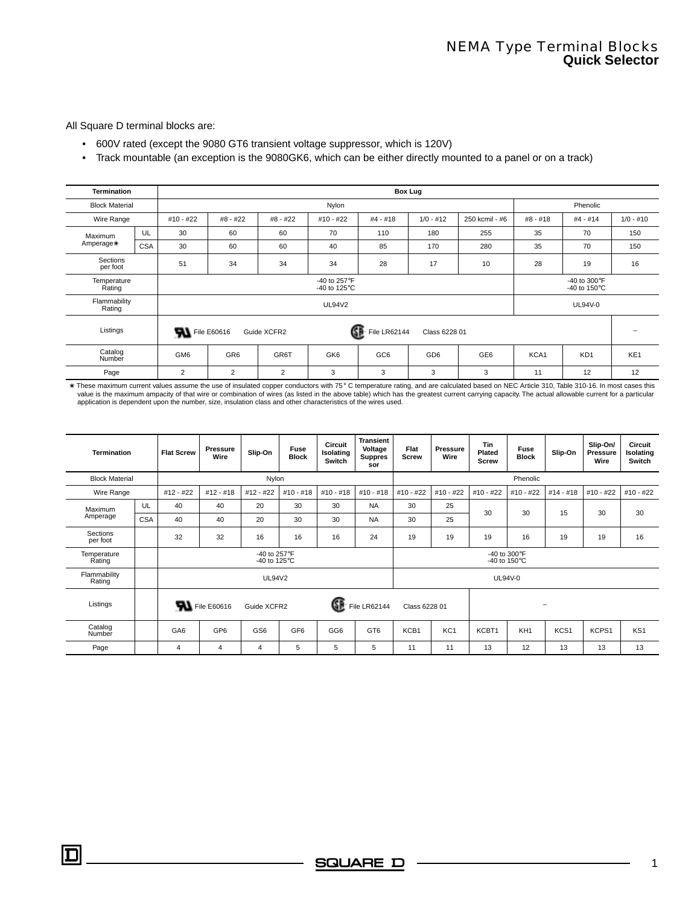1

All Square D terminal blocks are:

- 600V rated (except the 9080 GT6 transient voltage suppressor, which is 120V)
- Track mountable (an exception is the 9080GK6, which can be either directly mounted to a panel or on a track)

| <b>Termination</b>     |            | <b>Box Lug</b>                                                                                                            |          |                |               |          |             |                |                                                 |                 |             |  |
|------------------------|------------|---------------------------------------------------------------------------------------------------------------------------|----------|----------------|---------------|----------|-------------|----------------|-------------------------------------------------|-----------------|-------------|--|
| <b>Block Material</b>  |            | Nylon<br>Phenolic                                                                                                         |          |                |               |          |             |                |                                                 |                 |             |  |
| Wire Range             |            | #10 - #22                                                                                                                 | #8 - #22 | #8 - #22       | #10 - #22     | #4 - #18 | $1/0 - #12$ | 250 kcmil - #6 | #8 - #18                                        | #4 - #14        | $1/0 - #10$ |  |
| Maximum                | UL         | 30                                                                                                                        | 60       | 60             | 70            | 110      | 180         | 255            | 35                                              | 70              | 150         |  |
| Amperage <sup>*</sup>  | <b>CSA</b> | 30                                                                                                                        | 60       | 60             | 40            | 85       | 170         | 280            | 35                                              | 70              | 150         |  |
| Sections<br>per foot   |            | 51<br>34<br>34<br>28<br>34<br>28<br>17<br>10<br>19                                                                        |          |                |               |          |             |                | 16                                              |                 |             |  |
| Temperature<br>Rating  |            | -40 to 257°F<br>-40 to 125 $\mathrm{^{\circ}C}$                                                                           |          |                |               |          |             |                | -40 to 300°F<br>-40 to 150 $\mathrm{^{\circ}C}$ |                 |             |  |
| Flammability<br>Rating |            |                                                                                                                           |          |                | <b>UL94V2</b> |          |             |                |                                                 | UL94V-0         |             |  |
| Listings               |            | Œ<br>File E60616<br>File LR62144<br>Class 6228 01<br>Guide XCFR2                                                          |          |                |               |          |             |                |                                                 |                 |             |  |
| Catalog<br>Number      |            | GR <sub>6</sub><br>GR6T<br>GK <sub>6</sub><br>GE <sub>6</sub><br>KCA1<br>GM <sub>6</sub><br>GC6<br>KD1<br>GD <sub>6</sub> |          |                |               |          |             |                |                                                 | KE <sub>1</sub> |             |  |
| Page                   |            | 2                                                                                                                         | 2        | $\overline{2}$ | 3             | 3        | 3           | 3              | 11                                              | 12              | 12          |  |

\* These maximum current values assume the use of insulated copper conductors with 75° C temperature rating, and are calculated based on NEC Article 310, Table 310-16. In most cases this value is the maximum ampacity of that wire or combination of wires (as listed in the above table) which has the greatest current carrying capacity. The actual allowable current for a particular<br>application is dependent upo

| <b>Termination</b>     |            | <b>Transient</b><br>Circuit<br>Tin<br>Flat<br>Fuse<br>Voltage<br>Pressure<br>Pressure<br>Slip-On<br><b>Flat Screw</b><br>Plated<br>Isolating<br>Wire<br><b>Block</b><br>Wire<br><b>Screw</b><br><b>Suppres</b><br>Switch<br><b>Screw</b><br>sor |                 |                                                 |                 |             |                 | Fuse<br><b>Block</b> | Slip-On         | Slip-On/<br>Pressure<br>Wire | Circuit<br>Isolating<br>Switch |             |           |           |  |
|------------------------|------------|-------------------------------------------------------------------------------------------------------------------------------------------------------------------------------------------------------------------------------------------------|-----------------|-------------------------------------------------|-----------------|-------------|-----------------|----------------------|-----------------|------------------------------|--------------------------------|-------------|-----------|-----------|--|
| <b>Block Material</b>  |            |                                                                                                                                                                                                                                                 |                 | Nylon                                           |                 |             |                 |                      |                 |                              | Phenolic                       |             |           |           |  |
| Wire Range             |            | #12 - #22                                                                                                                                                                                                                                       | $#12 - #18$     | #12 - #22                                       | #10 - #18       | $#10 - #18$ | #10 - #18       | #10 - #22            | #10 - #22       | #10 - #22                    | #10 - #22                      | $#14 - #18$ | #10 - #22 | #10 - #22 |  |
| Maximum                | UL         | 40                                                                                                                                                                                                                                              | 40              | 20                                              | 30              | 30          | <b>NA</b>       | 30                   | 25              | 30                           | 30                             | 15          | 30        | 30        |  |
| Amperage               | <b>CSA</b> | 40                                                                                                                                                                                                                                              | 40              | 20                                              | 30              | 30          | <b>NA</b>       | 30                   | 25              |                              |                                |             |           |           |  |
| Sections<br>per foot   |            | 32                                                                                                                                                                                                                                              | 32              | 16                                              | 16              | 16          | 24              | 19                   | 19              | 19                           | 16                             | 19          | 19        | 16        |  |
| Temperature<br>Rating  |            |                                                                                                                                                                                                                                                 |                 | -40 to 257°F<br>-40 to 125 $\mathrm{^{\circ}C}$ |                 |             |                 |                      |                 |                              | -40 to 300°F<br>-40 to 150°C   |             |           |           |  |
| Flammability<br>Rating |            |                                                                                                                                                                                                                                                 | <b>UL94V2</b>   |                                                 |                 |             |                 |                      |                 |                              | UL94V-0                        |             |           |           |  |
| Listings               |            | File LR62144<br>File E60616<br>Guide XCFR2                                                                                                                                                                                                      |                 |                                                 |                 |             | Class 6228 01   |                      |                 |                              | $\qquad \qquad -$              |             |           |           |  |
| Catalog<br>Number      |            | GA <sub>6</sub>                                                                                                                                                                                                                                 | GP <sub>6</sub> | GS <sub>6</sub>                                 | GF <sub>6</sub> | GG6         | GT <sub>6</sub> | KCB1                 | KC <sub>1</sub> | KCBT1                        | KH <sub>1</sub>                | KCS1        | KCPS1     | KS1       |  |
| Page                   |            | 4                                                                                                                                                                                                                                               | $\overline{4}$  | $\overline{4}$                                  | 5               | 5           | 5               | 11                   | 11              | 13                           | 12                             | 13          | 13        | 13        |  |

 $\boldsymbol{\mathsf{D}}$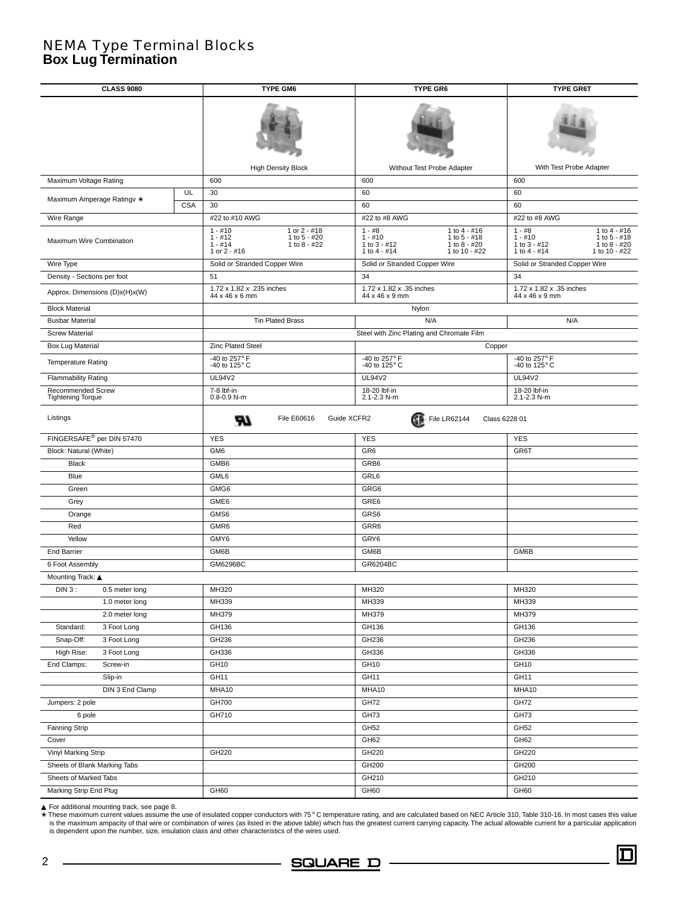#### NEMA Type Terminal Blocks **Box Lug Termination**

| <b>CLASS 9080</b>                             | <b>TYPE GM6</b>                                                                                       | <b>TYPE GR6</b>                                                                                                        | <b>TYPE GR6T</b>                                                                                                         |  |  |
|-----------------------------------------------|-------------------------------------------------------------------------------------------------------|------------------------------------------------------------------------------------------------------------------------|--------------------------------------------------------------------------------------------------------------------------|--|--|
|                                               |                                                                                                       |                                                                                                                        |                                                                                                                          |  |  |
|                                               | <b>High Density Block</b>                                                                             | Without Test Probe Adapter                                                                                             | With Test Probe Adapter                                                                                                  |  |  |
| Maximum Voltage Rating                        | 600                                                                                                   | 600                                                                                                                    | 600                                                                                                                      |  |  |
| Maximum Amperage Ratingv *                    | UL<br>30<br><b>CSA</b><br>30                                                                          | 60<br>60                                                                                                               | 60<br>60                                                                                                                 |  |  |
| Wire Range                                    | #22 to #10 AWG                                                                                        | #22 to #8 AWG                                                                                                          | #22 to #8 AWG                                                                                                            |  |  |
| Maximum Wire Combination                      | 1 or 2 - #18<br>$1 - #10$<br>$1 - #12$<br>1 to 5 - #20<br>$1 - #14$<br>1 to 8 - #22<br>1 or $2 - #16$ | $1 - #8$<br>1 to 4 - #16<br>$1 - #10$<br>1 to 5 - #18<br>1 to 3 - #12<br>1 to 8 - #20<br>1 to 4 - #14<br>1 to 10 - #22 | $1 - #8$<br>1 to 4 - #16<br>$1 - #10$<br>1 to 5 - #18<br>1 to $3 - #12$<br>1 to 8 - #20<br>1 to 4 - #14<br>1 to 10 - #22 |  |  |
| Wire Type                                     | Solid or Stranded Copper Wire                                                                         | Solid or Stranded Copper Wire                                                                                          | Solid or Stranded Copper Wire                                                                                            |  |  |
| Density - Sections per foot                   | 51                                                                                                    | 34                                                                                                                     | 34                                                                                                                       |  |  |
| Approx. Dimensions (D)x(H)x(W)                | 1.72 x 1.82 x .235 inches<br>44 x 46 x 6 mm                                                           | 1.72 x 1.82 x .35 inches<br>44 x 46 x 9 mm                                                                             | 1.72 x 1.82 x .35 inches<br>44 x 46 x 9 mm                                                                               |  |  |
| <b>Block Material</b>                         |                                                                                                       | Nylon                                                                                                                  |                                                                                                                          |  |  |
| <b>Busbar Material</b>                        | <b>Tin Plated Brass</b>                                                                               | N/A                                                                                                                    | N/A                                                                                                                      |  |  |
| <b>Screw Material</b>                         |                                                                                                       | Steel with Zinc Plating and Chromate Film                                                                              |                                                                                                                          |  |  |
| Box Lug Material                              | <b>Zinc Plated Steel</b>                                                                              | Copper                                                                                                                 |                                                                                                                          |  |  |
| <b>Temperature Rating</b>                     | -40 to 257° F<br>-40 to 125 $\degree$ C                                                               | -40 to 257° F<br>-40 to 125 $\degree$ C                                                                                | -40 to 257° F<br>-40 to 125° C                                                                                           |  |  |
| <b>Flammability Rating</b>                    | <b>UL94V2</b>                                                                                         | <b>UL94V2</b>                                                                                                          | <b>UL94V2</b>                                                                                                            |  |  |
| Recommended Screw<br><b>Tightening Torque</b> | 7-8 lbf-in<br>$0.8 - 0.9 N-m$                                                                         | 18-20 lbf-in<br>2.1-2.3 N-m                                                                                            | 18-20 lbf-in<br>2.1-2.3 N-m                                                                                              |  |  |
| Listings                                      | File E60616<br>Я                                                                                      | File LR62144<br>Guide XCFR2                                                                                            | Class 6228 01                                                                                                            |  |  |
| FINGERSAFE <sup>®</sup> per DIN 57470         | <b>YES</b>                                                                                            | <b>YES</b>                                                                                                             | <b>YES</b>                                                                                                               |  |  |
| Block: Natural (White)                        | GM <sub>6</sub>                                                                                       | GR <sub>6</sub>                                                                                                        | GR6T                                                                                                                     |  |  |
| <b>Black</b>                                  | GMB6                                                                                                  | GRB6                                                                                                                   |                                                                                                                          |  |  |
| Blue                                          | GML6                                                                                                  | GRL6                                                                                                                   |                                                                                                                          |  |  |
| Green                                         | GMG6                                                                                                  | GRG6                                                                                                                   |                                                                                                                          |  |  |
| Grey                                          | GME <sub>6</sub>                                                                                      | GRE6                                                                                                                   |                                                                                                                          |  |  |
| Orange                                        | GMS6                                                                                                  | GRS6                                                                                                                   |                                                                                                                          |  |  |
| Red                                           | GMR6                                                                                                  | GRR6                                                                                                                   |                                                                                                                          |  |  |
| Yellow                                        | GMY6                                                                                                  | GRY6                                                                                                                   |                                                                                                                          |  |  |
| <b>End Barrier</b>                            | GM6B                                                                                                  | GM6B                                                                                                                   | GM6B                                                                                                                     |  |  |
| 6 Foot Assembly                               | GM6296BC                                                                                              | GR6204BC                                                                                                               |                                                                                                                          |  |  |
| Mounting Track: ▲                             |                                                                                                       |                                                                                                                        |                                                                                                                          |  |  |
| $DIN3$ :<br>0.5 meter long                    | MH320                                                                                                 | MH320                                                                                                                  | MH320                                                                                                                    |  |  |
| 1.0 meter long                                | MH339                                                                                                 | MH339                                                                                                                  | MH339                                                                                                                    |  |  |
| 2.0 meter long                                | MH379                                                                                                 | MH379                                                                                                                  | MH379                                                                                                                    |  |  |
| 3 Foot Long<br>Standard:                      | GH136                                                                                                 | GH136                                                                                                                  | GH136                                                                                                                    |  |  |
| Snap-Off:<br>3 Foot Long                      | GH236                                                                                                 | GH236                                                                                                                  | GH236                                                                                                                    |  |  |
| High Rise:<br>3 Foot Long                     | GH336                                                                                                 | GH336                                                                                                                  | GH336                                                                                                                    |  |  |
| End Clamps:<br>Screw-in                       | GH10                                                                                                  | GH <sub>10</sub>                                                                                                       | GH <sub>10</sub>                                                                                                         |  |  |
| Slip-in                                       | GH11                                                                                                  | GH11                                                                                                                   | GH11                                                                                                                     |  |  |
| DIN 3 End Clamp                               | MHA10                                                                                                 | MHA10                                                                                                                  | MHA10                                                                                                                    |  |  |
| Jumpers: 2 pole                               | GH700                                                                                                 | GH72                                                                                                                   | GH72                                                                                                                     |  |  |
| 6 pole                                        | GH710                                                                                                 | GH73                                                                                                                   | GH73                                                                                                                     |  |  |
| <b>Fanning Strip</b>                          |                                                                                                       | GH <sub>52</sub>                                                                                                       | GH52                                                                                                                     |  |  |
| Cover                                         |                                                                                                       | GH62                                                                                                                   | GH62                                                                                                                     |  |  |
| Vinyl Marking Strip                           | GH220                                                                                                 | GH220                                                                                                                  | GH220                                                                                                                    |  |  |
| Sheets of Blank Marking Tabs                  |                                                                                                       | GH200                                                                                                                  | GH200                                                                                                                    |  |  |
| Sheets of Marked Tabs                         |                                                                                                       | GH210                                                                                                                  | GH210                                                                                                                    |  |  |
| Marking Strip End Plug                        | GH60                                                                                                  | GH60                                                                                                                   | GH60                                                                                                                     |  |  |
|                                               |                                                                                                       |                                                                                                                        |                                                                                                                          |  |  |

▲ For additional mounting track, see page 8.<br>☀ These maximum current values assume the use of insulated copper conductors with 75° C temperature rating, and are calculated based on NEC Article 310, Table 310-16. In most c is dependent upon the number, size, insulation class and other characteristics of the wires used.

回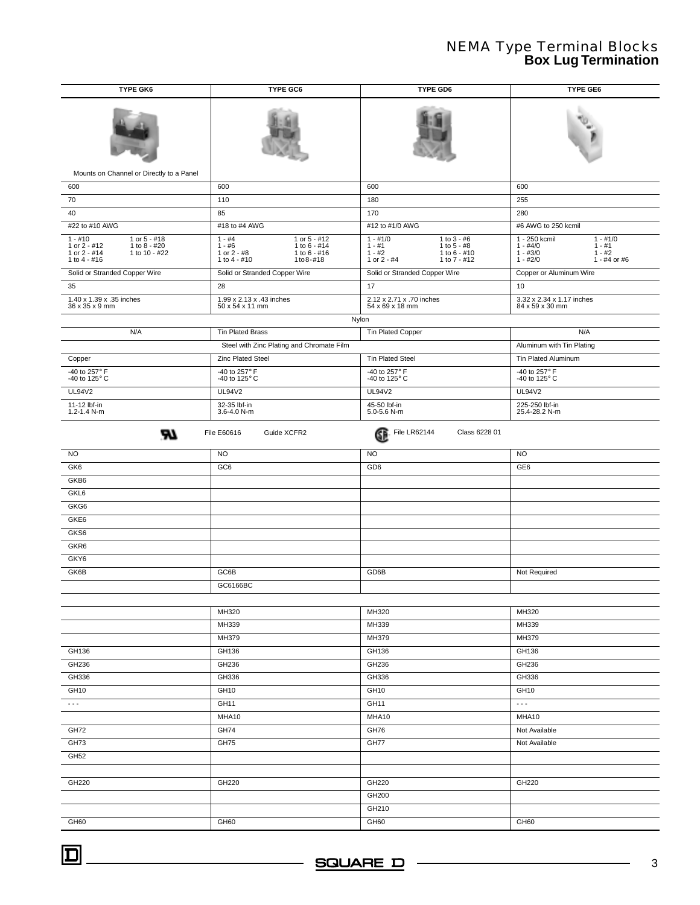#### NEMA Type Terminal Blocks **Box Lug Termination**

| TYPE GK6                                                                                                       | <b>TYPE GC6</b>                                                                                                         | <b>TYPE GD6</b>                                                                                                       | <b>TYPE GE6</b>                                                                                               |  |  |  |
|----------------------------------------------------------------------------------------------------------------|-------------------------------------------------------------------------------------------------------------------------|-----------------------------------------------------------------------------------------------------------------------|---------------------------------------------------------------------------------------------------------------|--|--|--|
|                                                                                                                |                                                                                                                         |                                                                                                                       |                                                                                                               |  |  |  |
| Mounts on Channel or Directly to a Panel                                                                       |                                                                                                                         |                                                                                                                       |                                                                                                               |  |  |  |
| 600                                                                                                            | 600                                                                                                                     | 600                                                                                                                   | 600                                                                                                           |  |  |  |
| 70                                                                                                             | 110                                                                                                                     | 180                                                                                                                   | 255                                                                                                           |  |  |  |
| 40                                                                                                             | 85                                                                                                                      | 170                                                                                                                   | 280                                                                                                           |  |  |  |
| #22 to #10 AWG                                                                                                 | #18 to #4 AWG                                                                                                           | #12 to #1/0 AWG                                                                                                       | #6 AWG to 250 kcmil                                                                                           |  |  |  |
| $1 - #10$<br>1 or $5 - #18$<br>1 or 2 - #12<br>1 to 8 - #20<br>1 to 10 - #22<br>1 or $2 - #14$<br>1 to 4 - #16 | $1 - #4$<br>1 or 5 - #12<br>$1 - #6$<br>1 to 6 - #14<br>1 or $2 - #8$<br>1 to 6 - #16<br>1 to 4 - #10<br>$1 to 8 - #18$ | $1 - #1/0$<br>1 to $3 - #6$<br>$1 - #1$<br>1 to $5 - #8$<br>$1 - #2$<br>1 to $6 - #10$<br>1 or 2 - #4<br>1 to 7 - #12 | 1 - 250 kcmil<br>$1 - #1/0$<br>$1 - #4/0$<br>$1 - #1$<br>$1 - #3/0$<br>$1 - #2$<br>$1 - #2/0$<br>1 - #4 or #6 |  |  |  |
| Solid or Stranded Copper Wire                                                                                  | Solid or Stranded Copper Wire                                                                                           | Solid or Stranded Copper Wire                                                                                         | Copper or Aluminum Wire                                                                                       |  |  |  |
| 35                                                                                                             | 28                                                                                                                      | 17                                                                                                                    | 10                                                                                                            |  |  |  |
| 1.40 x 1.39 x .35 inches<br>36 x 35 x 9 mm                                                                     | 1.99 x 2.13 x .43 inches<br>50 x 54 x 11 mm                                                                             | 2.12 x 2.71 x .70 inches<br>54 x 69 x 18 mm                                                                           | 3.32 x 2.34 x 1.17 inches<br>84 x 59 x 30 mm                                                                  |  |  |  |
|                                                                                                                |                                                                                                                         | Nylon                                                                                                                 |                                                                                                               |  |  |  |
| N/A                                                                                                            | <b>Tin Plated Brass</b>                                                                                                 | <b>Tin Plated Copper</b>                                                                                              | N/A                                                                                                           |  |  |  |
|                                                                                                                | Steel with Zinc Plating and Chromate Film                                                                               |                                                                                                                       | Aluminum with Tin Plating                                                                                     |  |  |  |
| Copper                                                                                                         | <b>Zinc Plated Steel</b>                                                                                                | <b>Tin Plated Steel</b>                                                                                               | Tin Plated Aluminum                                                                                           |  |  |  |
| -40 to 257° F<br>-40 to 125° C                                                                                 | -40 to 257° F<br>-40 to 125° C                                                                                          | -40 to 257° F<br>-40 to 125° C                                                                                        | -40 to 257° F<br>-40 to 125° C                                                                                |  |  |  |
| <b>UL94V2</b>                                                                                                  | <b>UL94V2</b>                                                                                                           | <b>UL94V2</b>                                                                                                         | <b>UL94V2</b>                                                                                                 |  |  |  |
| 11-12 lbf-in<br>$1.2 - 1.4 N-m$                                                                                | 32-35 lbf-in<br>3.6-4.0 N-m                                                                                             | 45-50 lbf-in<br>5.0-5.6 N-m                                                                                           | 225-250 lbf-in<br>25.4-28.2 N-m                                                                               |  |  |  |
| Я١                                                                                                             | File E60616<br>Guide XCFR2                                                                                              | File LR62144<br>Class 6228 01<br>GF                                                                                   |                                                                                                               |  |  |  |
| <b>NO</b>                                                                                                      | NO.                                                                                                                     | <b>NO</b>                                                                                                             | <b>NO</b>                                                                                                     |  |  |  |
| GK6                                                                                                            | GC6                                                                                                                     | GD <sub>6</sub>                                                                                                       | GE <sub>6</sub>                                                                                               |  |  |  |
| GKB6                                                                                                           |                                                                                                                         |                                                                                                                       |                                                                                                               |  |  |  |
| GKL6                                                                                                           |                                                                                                                         |                                                                                                                       |                                                                                                               |  |  |  |
| GKG6                                                                                                           |                                                                                                                         |                                                                                                                       |                                                                                                               |  |  |  |
| GKE6                                                                                                           |                                                                                                                         |                                                                                                                       |                                                                                                               |  |  |  |
| GKS6                                                                                                           |                                                                                                                         |                                                                                                                       |                                                                                                               |  |  |  |
| GKR6                                                                                                           |                                                                                                                         |                                                                                                                       |                                                                                                               |  |  |  |
| GKY6                                                                                                           |                                                                                                                         |                                                                                                                       |                                                                                                               |  |  |  |
| GK6B                                                                                                           | GC6B                                                                                                                    | GD6B                                                                                                                  | Not Required                                                                                                  |  |  |  |
|                                                                                                                | GC6166BC                                                                                                                |                                                                                                                       |                                                                                                               |  |  |  |
|                                                                                                                | MH320                                                                                                                   | MH320                                                                                                                 | MH320                                                                                                         |  |  |  |
|                                                                                                                | MH339                                                                                                                   | MH339                                                                                                                 | MH339                                                                                                         |  |  |  |
|                                                                                                                | MH379                                                                                                                   | MH379                                                                                                                 | MH379                                                                                                         |  |  |  |
| GH136                                                                                                          | GH136                                                                                                                   | GH136                                                                                                                 | GH136                                                                                                         |  |  |  |
| GH236                                                                                                          | GH236                                                                                                                   | GH236                                                                                                                 | GH236                                                                                                         |  |  |  |
| GH336                                                                                                          | GH336                                                                                                                   | GH336                                                                                                                 | GH336                                                                                                         |  |  |  |
| GH10                                                                                                           | GH <sub>10</sub>                                                                                                        | GH10                                                                                                                  | GH10                                                                                                          |  |  |  |
| $\sim$ $\sim$ $\sim$                                                                                           | GH11                                                                                                                    | GH11                                                                                                                  | $\sim$ $\sim$ $\sim$                                                                                          |  |  |  |
|                                                                                                                | MHA10                                                                                                                   | MHA10                                                                                                                 | MHA10                                                                                                         |  |  |  |
| GH72                                                                                                           | GH74                                                                                                                    | GH76                                                                                                                  | Not Available                                                                                                 |  |  |  |
| GH73                                                                                                           | GH75                                                                                                                    | GH77                                                                                                                  | Not Available                                                                                                 |  |  |  |
| GH <sub>52</sub>                                                                                               |                                                                                                                         |                                                                                                                       |                                                                                                               |  |  |  |
|                                                                                                                |                                                                                                                         |                                                                                                                       |                                                                                                               |  |  |  |
| GH220                                                                                                          | GH220                                                                                                                   | GH220                                                                                                                 | GH220                                                                                                         |  |  |  |
|                                                                                                                |                                                                                                                         | GH200                                                                                                                 |                                                                                                               |  |  |  |
|                                                                                                                |                                                                                                                         | GH210                                                                                                                 |                                                                                                               |  |  |  |
| GH <sub>60</sub>                                                                                               | GH <sub>60</sub>                                                                                                        | GH <sub>60</sub>                                                                                                      | GH <sub>60</sub>                                                                                              |  |  |  |

 $\overline{\phantom{0}}$ 

 $\mathbf{D}$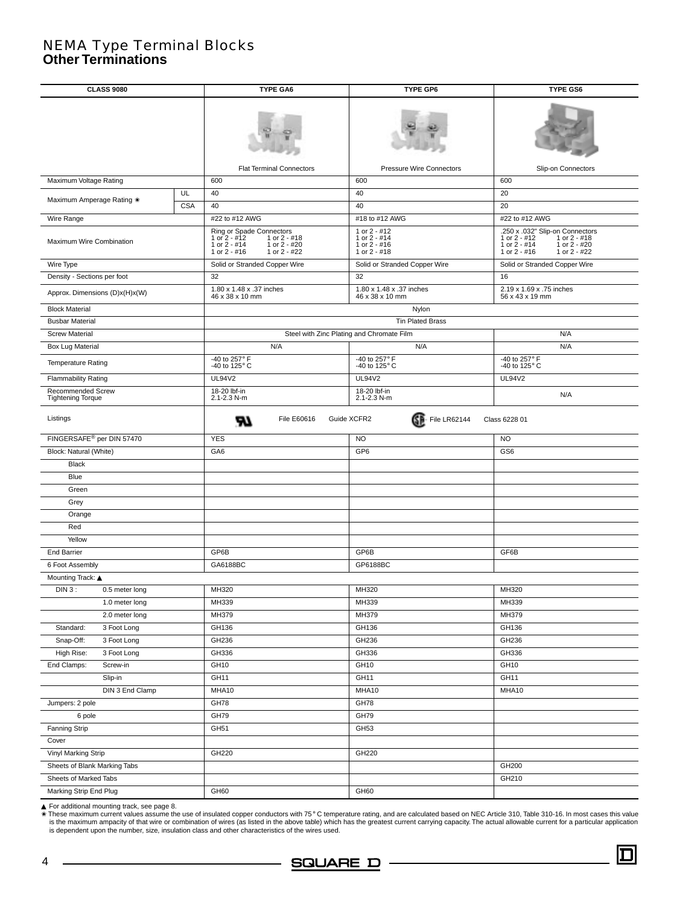#### NEMA Type Terminal Blocks **Other Terminations**

| <b>CLASS 9080</b>                                    | <b>TYPE GA6</b>                                                                                                            | TYPE GP6                                                     | TYPE GS6                                                                                                                              |  |
|------------------------------------------------------|----------------------------------------------------------------------------------------------------------------------------|--------------------------------------------------------------|---------------------------------------------------------------------------------------------------------------------------------------|--|
|                                                      | <b>Flat Terminal Connectors</b>                                                                                            | <b>Pressure Wire Connectors</b>                              | Slip-on Connectors                                                                                                                    |  |
| Maximum Voltage Rating                               | 600                                                                                                                        | 600                                                          | 600                                                                                                                                   |  |
|                                                      | UL<br>40                                                                                                                   | 40                                                           | 20                                                                                                                                    |  |
| Maximum Amperage Rating *                            | <b>CSA</b><br>40                                                                                                           | 40                                                           | 20                                                                                                                                    |  |
| Wire Range                                           | #22 to #12 AWG                                                                                                             | #18 to #12 AWG                                               | #22 to #12 AWG                                                                                                                        |  |
| Maximum Wire Combination                             | Ring or Spade Connectors<br>1 or $2 - #12$<br>1 or 2 - #18<br>1 or 2 - #14<br>1 or 2 - #20<br>1 or 2 - #16<br>1 or 2 - #22 | 1 or 2 - #12<br>1 or 2 - #14<br>1 or 2 - #16<br>1 or 2 - #18 | .250 x .032" Slip-on Connectors<br>1 or $2 - #12$<br>1 or 2 - #18<br>1 or $2 - #14$<br>1 or 2 - #20<br>1 or $2 - #16$<br>1 or 2 - #22 |  |
| Wire Type                                            | Solid or Stranded Copper Wire                                                                                              | Solid or Stranded Copper Wire                                | Solid or Stranded Copper Wire                                                                                                         |  |
| Density - Sections per foot                          | 32                                                                                                                         | 32                                                           | 16                                                                                                                                    |  |
| Approx. Dimensions (D)x(H)x(W)                       | 1.80 x 1.48 x .37 inches<br>46 x 38 x 10 mm                                                                                | 1.80 x 1.48 x .37 inches<br>46 x 38 x 10 mm                  | 2.19 x 1.69 x .75 inches<br>56 x 43 x 19 mm                                                                                           |  |
| <b>Block Material</b>                                |                                                                                                                            | Nylon                                                        |                                                                                                                                       |  |
| <b>Busbar Material</b>                               |                                                                                                                            | <b>Tin Plated Brass</b>                                      |                                                                                                                                       |  |
| <b>Screw Material</b>                                |                                                                                                                            | Steel with Zinc Plating and Chromate Film                    | N/A                                                                                                                                   |  |
| Box Lug Material                                     | N/A                                                                                                                        | N/A                                                          | N/A                                                                                                                                   |  |
| <b>Temperature Rating</b>                            | -40 to 257° F<br>-40 to 125° C                                                                                             | -40 to 257° F<br>-40 to 125° C                               | -40 to 257° F<br>-40 to 125 $\degree$ C                                                                                               |  |
| <b>Flammability Rating</b>                           | <b>UL94V2</b>                                                                                                              | <b>UL94V2</b>                                                | <b>UL94V2</b>                                                                                                                         |  |
| Recommended Screw<br><b>Tightening Torque</b>        | 18-20 lbf-in<br>2.1-2.3 N-m                                                                                                | 18-20 lbf-in<br>2.1-2.3 N-m                                  | N/A                                                                                                                                   |  |
| Listings                                             | File E60616<br>Я                                                                                                           | Guide XCFR2<br><b>File LR62144</b>                           | Class 6228 01                                                                                                                         |  |
| FINGERSAFE <sup>®</sup> per DIN 57470                | <b>YES</b>                                                                                                                 | <b>NO</b>                                                    | <b>NO</b>                                                                                                                             |  |
| Block: Natural (White)                               | GA <sub>6</sub>                                                                                                            | GP <sub>6</sub>                                              | GS <sub>6</sub>                                                                                                                       |  |
| <b>Black</b>                                         |                                                                                                                            |                                                              |                                                                                                                                       |  |
| Blue                                                 |                                                                                                                            |                                                              |                                                                                                                                       |  |
| Green                                                |                                                                                                                            |                                                              |                                                                                                                                       |  |
| Grey                                                 |                                                                                                                            |                                                              |                                                                                                                                       |  |
| Orange                                               |                                                                                                                            |                                                              |                                                                                                                                       |  |
| Red                                                  |                                                                                                                            |                                                              |                                                                                                                                       |  |
| Yellow                                               |                                                                                                                            |                                                              |                                                                                                                                       |  |
| <b>End Barrier</b>                                   | GP6B                                                                                                                       | GP6B                                                         | GF6B                                                                                                                                  |  |
| 6 Foot Assembly                                      | GA6188BC                                                                                                                   | GP6188BC                                                     |                                                                                                                                       |  |
| Mounting Track: ▲                                    |                                                                                                                            |                                                              |                                                                                                                                       |  |
| $DIN3$ :<br>0.5 meter long                           | MH320                                                                                                                      | MH320                                                        | MH320                                                                                                                                 |  |
| 1.0 meter long                                       | MH339                                                                                                                      | MH339                                                        | MH339                                                                                                                                 |  |
| 2.0 meter long                                       | MH379                                                                                                                      | MH379                                                        | MH379                                                                                                                                 |  |
| Standard:<br>3 Foot Long                             | GH136                                                                                                                      | GH136                                                        | GH136                                                                                                                                 |  |
| Snap-Off:<br>3 Foot Long                             | GH236<br>GH336                                                                                                             | GH236<br>GH336                                               | GH236<br>GH336                                                                                                                        |  |
| High Rise:<br>3 Foot Long<br>End Clamps:<br>Screw-in | GH10                                                                                                                       | GH <sub>10</sub>                                             | GH10                                                                                                                                  |  |
| Slip-in                                              | GH11                                                                                                                       | GH11                                                         | GH11                                                                                                                                  |  |
|                                                      | MHA10                                                                                                                      | MHA10                                                        | MHA10                                                                                                                                 |  |
| DIN 3 End Clamp<br>Jumpers: 2 pole                   | GH78                                                                                                                       | GH78                                                         |                                                                                                                                       |  |
| 6 pole                                               | GH79                                                                                                                       | GH79                                                         |                                                                                                                                       |  |
| <b>Fanning Strip</b>                                 | GH51                                                                                                                       | GH53                                                         |                                                                                                                                       |  |
| Cover                                                |                                                                                                                            |                                                              |                                                                                                                                       |  |
| Vinyl Marking Strip                                  | GH220                                                                                                                      | GH220                                                        |                                                                                                                                       |  |
| Sheets of Blank Marking Tabs                         |                                                                                                                            |                                                              | GH200                                                                                                                                 |  |
| Sheets of Marked Tabs                                |                                                                                                                            |                                                              | GH210                                                                                                                                 |  |
| Marking Strip End Plug                               | GH60                                                                                                                       | GH60                                                         |                                                                                                                                       |  |
|                                                      |                                                                                                                            |                                                              |                                                                                                                                       |  |

▲ For additional mounting track, see page 8.<br>\* These maximum current values assume the use of insulated copper conductors with 75° C temperature rating, and are calculated based on NEC Article 310, Table 310-16. In most c

 $\overline{\mathbf{D}}$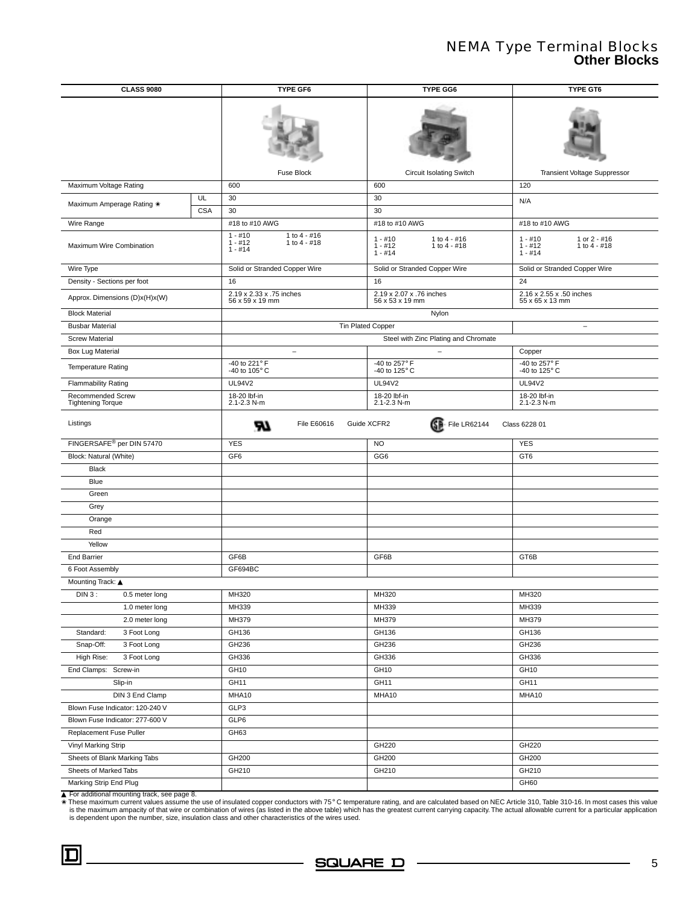#### NEMA Type Terminal Blocks **Other Blocks**

| <b>CLASS 9080</b>                             |           | <b>TYPE GF6</b>                                                       | <b>TYPE GG6</b>                                                     | TYPE GT6                                                              |  |  |
|-----------------------------------------------|-----------|-----------------------------------------------------------------------|---------------------------------------------------------------------|-----------------------------------------------------------------------|--|--|
|                                               |           |                                                                       | <b>Circuit Isolating Switch</b>                                     | Transient Voltage Suppressor                                          |  |  |
| Maximum Voltage Rating                        |           | 600                                                                   | 600                                                                 | 120                                                                   |  |  |
| Maximum Amperage Rating *                     | UL<br>CSA | 30<br>30                                                              | 30<br>30                                                            | N/A                                                                   |  |  |
| Wire Range                                    |           | #18 to #10 AWG                                                        | #18 to #10 AWG                                                      | #18 to #10 AWG                                                        |  |  |
| Maximum Wire Combination                      |           | 1 to 4 - #16<br>$1 - #10$<br>1 to $4 - #18$<br>$1 - #12$<br>$1 - #14$ | $1 - #10$<br>1 to 4 - #16<br>1 to 4 - #18<br>$1 - #12$<br>$1 - #14$ | $1 - #10$<br>1 or 2 - #16<br>1 to $4 - #18$<br>$1 - #12$<br>$1 - #14$ |  |  |
| Wire Type                                     |           | Solid or Stranded Copper Wire                                         | Solid or Stranded Copper Wire                                       | Solid or Stranded Copper Wire                                         |  |  |
| Density - Sections per foot                   |           | 16                                                                    | 16                                                                  | 24                                                                    |  |  |
| Approx. Dimensions (D)x(H)x(W)                |           | 2.19 x 2.33 x .75 inches<br>56 x 59 x 19 mm                           | 2.19 x 2.07 x .76 inches<br>56 x 53 x 19 mm                         | 2.16 x 2.55 x .50 inches<br>55 x 65 x 13 mm                           |  |  |
| <b>Block Material</b>                         |           |                                                                       | Nylon                                                               |                                                                       |  |  |
| <b>Busbar Material</b>                        |           |                                                                       | <b>Tin Plated Copper</b>                                            | $\overline{\phantom{0}}$                                              |  |  |
| <b>Screw Material</b>                         |           |                                                                       | Steel with Zinc Plating and Chromate                                |                                                                       |  |  |
| <b>Box Lug Material</b>                       |           | $\equiv$                                                              |                                                                     | Copper                                                                |  |  |
| Temperature Rating                            |           | -40 to 221° F<br>-40 to 105° C                                        | -40 to 257° F<br>-40 to 125° C                                      | -40 to 257° F<br>-40 to 125° C                                        |  |  |
| <b>Flammability Rating</b>                    |           | <b>UL94V2</b>                                                         | <b>UL94V2</b>                                                       | <b>UL94V2</b>                                                         |  |  |
| Recommended Screw<br><b>Tightening Torque</b> |           | 18-20 lbf-in<br>2.1-2.3 N-m                                           | 18-20 lbf-in<br>2.1-2.3 N-m                                         | 18-20 lbf-in<br>2.1-2.3 N-m                                           |  |  |
| Listings                                      |           | File E60616<br>Я١                                                     | Guide XCFR2<br><b>File LR62144</b>                                  | Class 6228 01                                                         |  |  |
| FINGERSAFE <sup>®</sup> per DIN 57470         |           | <b>YES</b>                                                            | <b>NO</b>                                                           | <b>YES</b>                                                            |  |  |
| Block: Natural (White)                        |           | GF <sub>6</sub>                                                       | GG <sub>6</sub>                                                     | GT <sub>6</sub>                                                       |  |  |
| <b>Black</b>                                  |           |                                                                       |                                                                     |                                                                       |  |  |
| Blue                                          |           |                                                                       |                                                                     |                                                                       |  |  |
| Green                                         |           |                                                                       |                                                                     |                                                                       |  |  |
| Grey                                          |           |                                                                       |                                                                     |                                                                       |  |  |
| Orange                                        |           |                                                                       |                                                                     |                                                                       |  |  |
| Red                                           |           |                                                                       |                                                                     |                                                                       |  |  |
| Yellow                                        |           |                                                                       |                                                                     |                                                                       |  |  |
| <b>End Barrier</b>                            |           | GF6B                                                                  | GF6B                                                                | GT6B                                                                  |  |  |
| 6 Foot Assembly                               |           | GF694BC                                                               |                                                                     |                                                                       |  |  |
| Mounting Track: ▲                             |           |                                                                       |                                                                     |                                                                       |  |  |
| $DIN3$ :<br>0.5 meter long                    |           | <b>MH320</b>                                                          | MH320                                                               | <b>MH320</b>                                                          |  |  |
| 1.0 meter long                                |           | MH339                                                                 | MH339                                                               | MH339                                                                 |  |  |
| 2.0 meter long                                |           | MH379                                                                 | MH379                                                               | MH379                                                                 |  |  |
| Standard:<br>3 Foot Long                      |           | GH136                                                                 | GH136                                                               | GH136                                                                 |  |  |
| 3 Foot Long<br>Snap-Off:                      |           | GH236                                                                 | GH236                                                               | GH236                                                                 |  |  |
| High Rise:<br>3 Foot Long                     |           | GH336                                                                 | GH336                                                               | GH336                                                                 |  |  |
| End Clamps: Screw-in                          |           | GH <sub>10</sub>                                                      | GH <sub>10</sub>                                                    | GH10                                                                  |  |  |
| Slip-in                                       |           | GH11                                                                  | GH11                                                                | GH11                                                                  |  |  |
| DIN 3 End Clamp                               |           | MHA10                                                                 | MHA10                                                               | MHA10                                                                 |  |  |
| Blown Fuse Indicator: 120-240 V               |           | GLP3                                                                  |                                                                     |                                                                       |  |  |
| Blown Fuse Indicator: 277-600 V               |           | GLP6                                                                  |                                                                     |                                                                       |  |  |
| Replacement Fuse Puller                       |           | GH63                                                                  |                                                                     |                                                                       |  |  |
| Vinyl Marking Strip                           |           |                                                                       | GH220                                                               | GH220                                                                 |  |  |
| Sheets of Blank Marking Tabs                  |           | GH200                                                                 | GH200                                                               | GH200                                                                 |  |  |
| Sheets of Marked Tabs                         |           | GH210                                                                 | GH210                                                               | GH210                                                                 |  |  |
| Marking Strip End Plug                        |           |                                                                       |                                                                     | GH60                                                                  |  |  |

▲ For additional mounting track, see page 8.

✬ These maximum current values assume the use of insulated copper conductors with 75° C temperature rating, and are calculated based on NEC Article 310, Table 310-16. In most cases this value is the maximum ampacity of that wire or combination of wires (as listed in the above table) which has the greatest current carrying capacity. The actual allowable current for a particular application<br>is dependent upon the

 $\overline{\mathbf{D}}$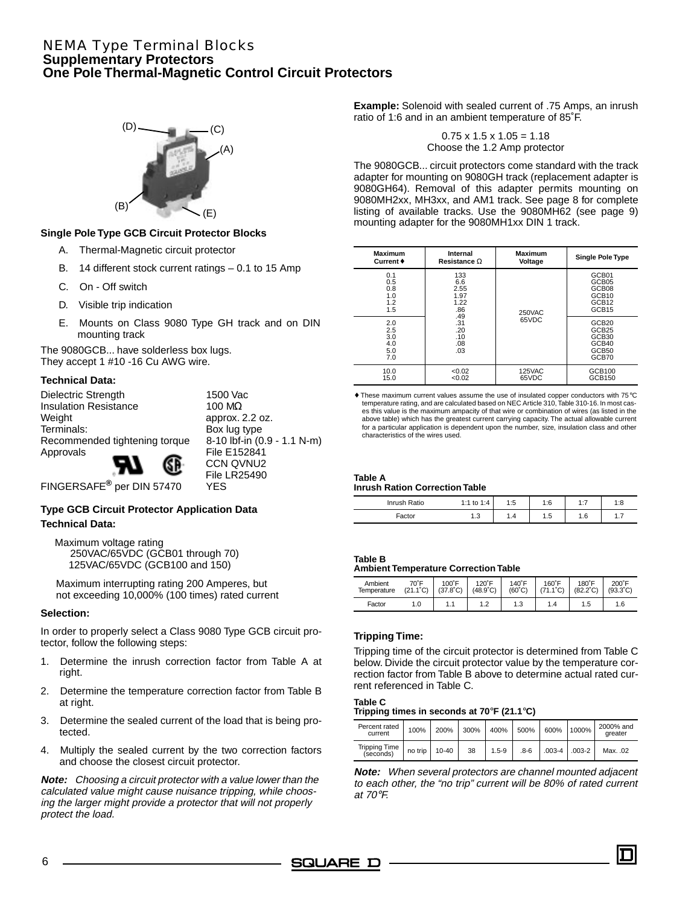#### NEMA Type Terminal Blocks **Supplementary Protectors One Pole Thermal-Magnetic Control Circuit Protectors**



#### **Single Pole Type GCB Circuit Protector Blocks**

- A. Thermal-Magnetic circuit protector
- B. 14 different stock current ratings 0.1 to 15 Amp
- C. On Off switch
- D. Visible trip indication
- E. Mounts on Class 9080 Type GH track and on DIN mounting track

The 9080GCB... have solderless box lugs. They accept 1 #10 -16 Cu AWG wire.

#### **Technical Data:**

Dielectric Strength 1500 Vac Insulation Resistance 100 MΩ Weight **approx.** 2.2 oz.<br>Terminals: Terminals: **approx** Box lug type Recommended tightening torque Approvals File E152841

Box lug type<br> $8-10$  lbf-in  $(0.9 - 1.1 N-m)$ CCN QVNU2 File LR25490

FINGERSAFE**®** per DIN 57470 YES

#### **Type GCB Circuit Protector Application Data Technical Data:**

Maximum voltage rating 250VAC/65VDC (GCB01 through 70) 125VAC/65VDC (GCB100 and 150)

Maximum interrupting rating 200 Amperes, but not exceeding 10,000% (100 times) rated current

#### **Selection:**

In order to properly select a Class 9080 Type GCB circuit protector, follow the following steps:

- 1. Determine the inrush correction factor from Table A at right.
- 2. Determine the temperature correction factor from Table B at right.
- 3. Determine the sealed current of the load that is being protected.
- 4. Multiply the sealed current by the two correction factors and choose the closest circuit protector.

**Note:** Choosing a circuit protector with a value lower than the calculated value might cause nuisance tripping, while choosing the larger might provide a protector that will not properly protect the load.

**Example:** Solenoid with sealed current of .75 Amps, an inrush ratio of 1:6 and in an ambient temperature of 85˚F.

> $0.75 \times 1.5 \times 1.05 = 1.18$ Choose the 1.2 Amp protector

The 9080GCB... circuit protectors come standard with the track adapter for mounting on 9080GH track (replacement adapter is 9080GH64). Removal of this adapter permits mounting on 9080MH2xx, MH3xx, and AM1 track. See page 8 for complete listing of available tracks. Use the 9080MH62 (see page 9) mounting adapter for the 9080MH1xx DIN 1 track.

| Maximum                                | Internal                                         | Maximum         | <b>Single Pole Type</b>                                                                |
|----------------------------------------|--------------------------------------------------|-----------------|----------------------------------------------------------------------------------------|
| Current +                              | Resistance $\Omega$                              | Voltage         |                                                                                        |
| 0.1<br>0.5<br>0.8<br>1.0<br>1.2<br>1.5 | 133<br>6.6<br>2.55<br>1.97<br>1.22<br>.86<br>.49 | 250VAC<br>65VDC | GCB01<br>GCB05<br>GCB08<br>GCB <sub>10</sub><br>GCB <sub>12</sub><br>GCB <sub>15</sub> |
| 2.0<br>2.5<br>3.0<br>4.0<br>5.0<br>7.0 | .31<br>.20<br>.10<br>.08<br>.03                  |                 | GCB <sub>20</sub><br>GCB <sub>25</sub><br>GCB30<br>GCB40<br>GCB50<br>GCB70             |
| 10.0                                   | < 0.02                                           | 125VAC          | GCB100                                                                                 |
| 15.0                                   | < 0.02                                           | 65VDC           | GCB150                                                                                 |

♦ These maximum current values assume the use of insulated copper conductors with 75°C temperature rating, and are calculated based on NEC Article 310, Table 310-16. In most cases this value is the maximum ampacity of that wire or combination of wires (as listed in the above table) which has the greatest current carrying capacity. The actual allowable current for a particular application is dependent upon the number, size, insulation class and other characteristics of the wires used.

#### **Table A Inrush Ration Correction Table**

| Inrush Ratio | 1:1 to 1:4      | 1:5              | 1:6 | 1.7<br> | 1:8      |
|--------------|-----------------|------------------|-----|---------|----------|
| Factor       | $\Omega$<br>1.0 | $\Lambda$<br>۰., | 1.5 | 1.6     | $\cdots$ |

#### **Table B**

#### **Ambient Temperature Correction Table**

| Ambient     | 70°F              | $100^{\circ}$ F   | 120°F              | $140^\circ F$   | 160°F             | 180°F             | 200°F             |
|-------------|-------------------|-------------------|--------------------|-----------------|-------------------|-------------------|-------------------|
| Temperature | $(21.1^{\circ}C)$ | $(37.8^{\circ}C)$ | $(48.9^{\circ}C)$  | $(60^{\circ}C)$ | $(71.1^{\circ}C)$ | $(82.2^{\circ}C)$ | $(93.3^{\circ}C)$ |
| Factor      | 1.0               | .                 | $\sqrt{2}$<br>ے. ا | 1.3             | 1.4               | 1.5               | 1.6               |

#### **Tripping Time:**

Tripping time of the circuit protector is determined from Table C below. Divide the circuit protector value by the temperature correction factor from Table B above to determine actual rated current referenced in Table C.

#### **Table C**

#### **Tripping times in seconds at 70**°**F (21.1**°**C)**

| Percent rated<br>current          | 100%    | 200%      |    | 300%   400%   500% |      | 600%       | 1000%      | 2000% and<br>greater |
|-----------------------------------|---------|-----------|----|--------------------|------|------------|------------|----------------------|
| <b>Tripping Time</b><br>(seconds) | no trip | $10 - 40$ | 38 | $1.5 - 9$          | .8-6 | $.003 - 4$ | $.003 - 2$ | Max. .02             |

**Note:** When several protectors are channel mounted adjacent to each other, the "no trip" current will be 80% of rated current at 70°F.

m

6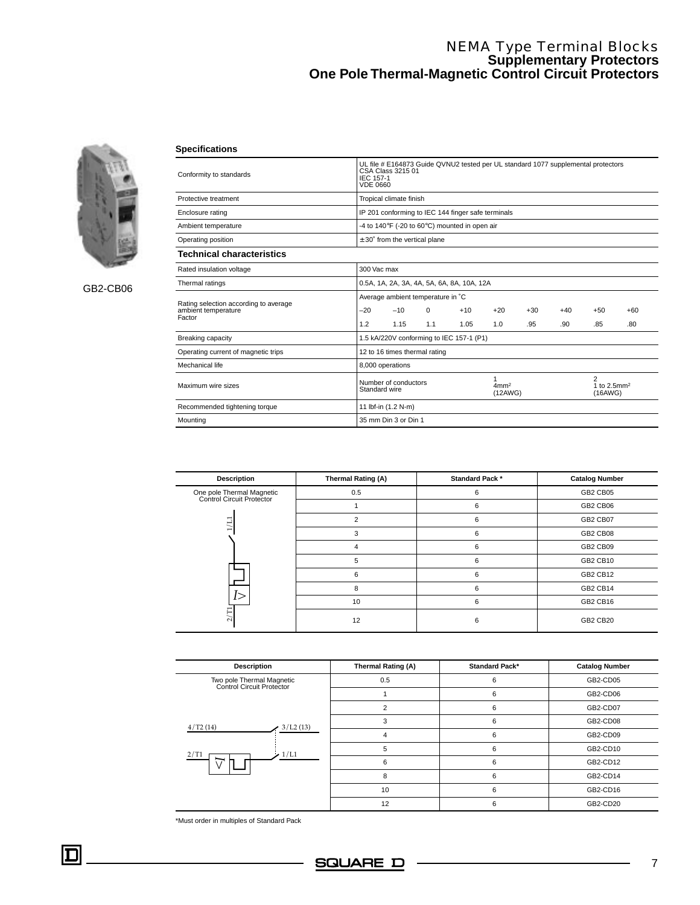#### NEMA Type Terminal Blocks **Supplementary Protectors One Pole Thermal-Magnetic Control Circuit Protectors**

GB2-CB06

回

| <b>Specifications</b>                                                  |                                                                                                                                                                                        |  |  |  |  |
|------------------------------------------------------------------------|----------------------------------------------------------------------------------------------------------------------------------------------------------------------------------------|--|--|--|--|
| Conformity to standards                                                | UL file # E164873 Guide QVNU2 tested per UL standard 1077 supplemental protectors<br>CSA Class 3215 01<br>IEC 157-1<br>VDE 0660                                                        |  |  |  |  |
| Protective treatment                                                   | Tropical climate finish                                                                                                                                                                |  |  |  |  |
| Enclosure rating                                                       | IP 201 conforming to IEC 144 finger safe terminals                                                                                                                                     |  |  |  |  |
| Ambient temperature                                                    | -4 to 140°F (-20 to 60°C) mounted in open air                                                                                                                                          |  |  |  |  |
| Operating position                                                     | $\pm$ 30° from the vertical plane                                                                                                                                                      |  |  |  |  |
| <b>Technical characteristics</b>                                       |                                                                                                                                                                                        |  |  |  |  |
| Rated insulation voltage                                               | 300 Vac max                                                                                                                                                                            |  |  |  |  |
| Thermal ratings                                                        | 0.5A, 1A, 2A, 3A, 4A, 5A, 6A, 8A, 10A, 12A                                                                                                                                             |  |  |  |  |
| Rating selection according to average<br>ambient temperature<br>Factor | Average ambient temperature in °C<br>$-10$<br>$+20$<br>$-20$<br>$\Omega$<br>$+10$<br>$+30$<br>$+40$<br>$+50$<br>$+60$<br>1.2<br>1.15<br>1.1<br>1.05<br>1.0<br>.95<br>.90<br>.85<br>.80 |  |  |  |  |
| Breaking capacity                                                      | 1.5 kA/220V conforming to IEC 157-1 (P1)                                                                                                                                               |  |  |  |  |
| Operating current of magnetic trips                                    | 12 to 16 times thermal rating                                                                                                                                                          |  |  |  |  |
| Mechanical life                                                        | 8,000 operations                                                                                                                                                                       |  |  |  |  |
| Maximum wire sizes                                                     | $\overline{2}$<br>1<br>Number of conductors<br>1 to $2.5$ mm <sup>2</sup><br>4mm <sup>2</sup><br>Standard wire<br>(12AWG)<br>(16AWG)                                                   |  |  |  |  |
| Recommended tightening torque                                          | 11 lbf-in (1.2 N-m)                                                                                                                                                                    |  |  |  |  |
| Mounting                                                               | 35 mm Din 3 or Din 1                                                                                                                                                                   |  |  |  |  |

| <b>Description</b>                                     | <b>Thermal Rating (A)</b> | <b>Standard Pack *</b> | <b>Catalog Number</b> |
|--------------------------------------------------------|---------------------------|------------------------|-----------------------|
| One pole Thermal Magnetic<br>Control Circuit Protector | 0.5                       | 6                      | GB2 CB05              |
|                                                        |                           | 6                      | GB2 CB06              |
|                                                        | 2                         | 6                      | GB2 CB07              |
|                                                        | 3                         | 6                      | GB2 CB08              |
|                                                        | 4                         | 6                      | GB2 CB09              |
|                                                        | 5                         | 6                      | GB2 CB10              |
|                                                        | 6                         | 6                      | GB2 CB12              |
|                                                        | 8                         | 6                      | GB2 CB14              |
|                                                        | 10                        | 6                      | GB2 CB16              |
| $\sim$                                                 | 12                        | 6                      | GB2 CB20              |

| <b>Description</b>                                     | Thermal Rating (A) | Standard Pack* | <b>Catalog Number</b> |
|--------------------------------------------------------|--------------------|----------------|-----------------------|
| Two pole Thermal Magnetic<br>Control Circuit Protector | 0.5                | 6              | GB2-CD05              |
|                                                        |                    | 6              | GB2-CD06              |
|                                                        | $\overline{2}$     | 6              | GB2-CD07              |
| 3/L2(13)<br>4/T2(14)<br>1/L1<br>2/T1                   | 3                  | 6              | GB2-CD08              |
|                                                        | 4                  | 6              | GB2-CD09              |
|                                                        | 5                  | 6              | GB2-CD10              |
|                                                        | 6                  | 6              | GB2-CD12              |
|                                                        | 8                  | 6              | GB2-CD14              |
|                                                        | 10                 | 6              | GB2-CD16              |
|                                                        | 12                 | 6              | GB2-CD20              |

\*Must order in multiples of Standard Pack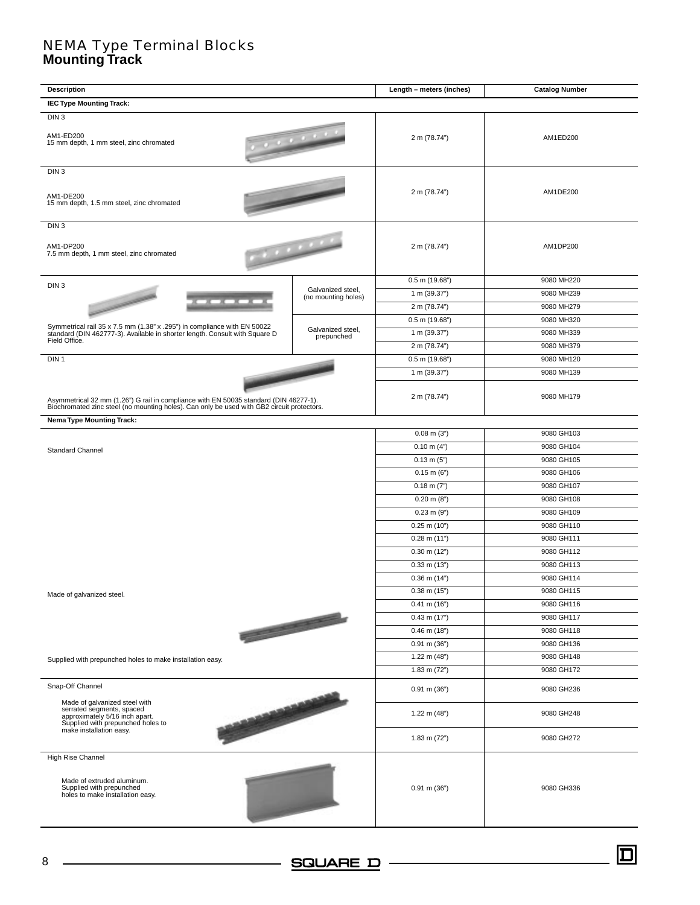#### NEMA Type Terminal Blocks **Mounting Track**

| <b>Description</b>                                                                                                                                                                                                                   |                                          | Length - meters (inches) | <b>Catalog Number</b> |
|--------------------------------------------------------------------------------------------------------------------------------------------------------------------------------------------------------------------------------------|------------------------------------------|--------------------------|-----------------------|
| <b>IEC Type Mounting Track:</b>                                                                                                                                                                                                      |                                          |                          |                       |
| DIN <sub>3</sub>                                                                                                                                                                                                                     |                                          |                          |                       |
| AM1-ED200<br>15 mm depth, 1 mm steel, zinc chromated                                                                                                                                                                                 | 2 m (78.74")                             | AM1ED200                 |                       |
| DIN <sub>3</sub>                                                                                                                                                                                                                     |                                          |                          |                       |
| AM1-DE200<br>15 mm depth, 1.5 mm steel, zinc chromated                                                                                                                                                                               |                                          | 2 m (78.74")             | AM1DE200              |
| DIN <sub>3</sub>                                                                                                                                                                                                                     |                                          |                          |                       |
| AM1-DP200<br>7.5 mm depth, 1 mm steel, zinc chromated                                                                                                                                                                                | $\sim$ $\sim$                            | 2 m (78.74")             | AM1DP200              |
| DIN <sub>3</sub>                                                                                                                                                                                                                     |                                          | $0.5$ m (19.68")         | 9080 MH220            |
|                                                                                                                                                                                                                                      | Galvanized steel,<br>(no mounting holes) | 1 m (39.37")             | 9080 MH239            |
| <b>Andrew Street, Square, Square, Square, Square, Square, Square, Square, Square, Square, Square, Square, Square, Square, Square, Square, Square, Square, Square, Square, Square, Square, Square, Square, Square, Square, Square</b> |                                          | 2 m (78.74")             | 9080 MH279            |
|                                                                                                                                                                                                                                      |                                          | $0.5$ m (19.68")         | 9080 MH320            |
| Symmetrical rail 35 x 7.5 mm (1.38" x .295") in compliance with EN 50022 standard (DIN 462777-3). Available in shorter length. Consult with Square D                                                                                 | Galvanized steel,<br>prepunched          | 1 m (39.37")             | 9080 MH339            |
| Field Office.                                                                                                                                                                                                                        |                                          | 2 m (78.74")             | 9080 MH379            |
| DIN <sub>1</sub>                                                                                                                                                                                                                     |                                          | $0.5$ m (19.68")         | 9080 MH120            |
|                                                                                                                                                                                                                                      | <b>STATISTICS</b>                        | 1 m (39.37")             | 9080 MH139            |
| Asymmetrical 32 mm (1.26") G rail in compliance with EN 50035 standard (DIN 46277-1).<br>Biochromated zinc steel (no mounting holes). Can only be used with GB2 circuit protectors.                                                  |                                          | 2 m (78.74")             | 9080 MH179            |
| <b>Nema Type Mounting Track:</b>                                                                                                                                                                                                     |                                          |                          |                       |
|                                                                                                                                                                                                                                      |                                          | $0.08$ m $(3")$          | 9080 GH103            |
| Standard Channel                                                                                                                                                                                                                     |                                          | $0.10$ m $(4")$          | 9080 GH104            |
|                                                                                                                                                                                                                                      |                                          | $0.13$ m $(5")$          | 9080 GH105            |
|                                                                                                                                                                                                                                      |                                          | $0.15$ m $(6")$          | 9080 GH106            |
|                                                                                                                                                                                                                                      | $0.18$ m $(7")$                          | 9080 GH107               |                       |
|                                                                                                                                                                                                                                      | $0.20$ m $(8")$                          | 9080 GH108               |                       |
|                                                                                                                                                                                                                                      | $0.23$ m $(9")$                          | 9080 GH109               |                       |
|                                                                                                                                                                                                                                      | $0.25$ m $(10")$                         | 9080 GH110               |                       |
|                                                                                                                                                                                                                                      | $0.28$ m $(11")$                         | 9080 GH111               |                       |
|                                                                                                                                                                                                                                      | $0.30$ m $(12")$                         | 9080 GH112               |                       |
|                                                                                                                                                                                                                                      | $0.33$ m $(13")$                         | 9080 GH113               |                       |
|                                                                                                                                                                                                                                      |                                          | $0.36$ m $(14")$         | 9080 GH114            |
| Made of galvanized steel.                                                                                                                                                                                                            |                                          | $0.38$ m $(15")$         | 9080 GH115            |
|                                                                                                                                                                                                                                      |                                          | $0.41$ m $(16")$         | 9080 GH116            |
|                                                                                                                                                                                                                                      | the party of the local division in       | $0.43$ m $(17")$         | 9080 GH117            |
|                                                                                                                                                                                                                                      |                                          | $0.46$ m $(18")$         | 9080 GH118            |
|                                                                                                                                                                                                                                      |                                          | $0.91$ m $(36")$         | 9080 GH136            |
| Supplied with prepunched holes to make installation easy.                                                                                                                                                                            |                                          | 1.22 m $(48)$            | 9080 GH148            |
|                                                                                                                                                                                                                                      |                                          | 1.83 m (72")             | 9080 GH172            |
| Snap-Off Channel<br>Made of galvanized steel with                                                                                                                                                                                    |                                          | $0.91$ m $(36")$         | 9080 GH236            |
| <b>CONTRACTOR</b><br>Manusco Jerusal Separated Segments, spaced<br>approximately 5/16 inch apart.<br>Supplied with prepunched holes to<br>make installation easy.                                                                    | 1.22 m $(48")$                           | 9080 GH248               |                       |
|                                                                                                                                                                                                                                      |                                          | $1.83$ m $(72")$         | 9080 GH272            |
| High Rise Channel<br>Made of extruded aluminum.<br>Supplied with prepunched                                                                                                                                                          |                                          | $0.91$ m $(36")$         | 9080 GH336            |
| holes to make installation easy.                                                                                                                                                                                                     |                                          |                          |                       |

 $\boxed{\mathbf{D}}$ 

 $\overline{\phantom{a}}$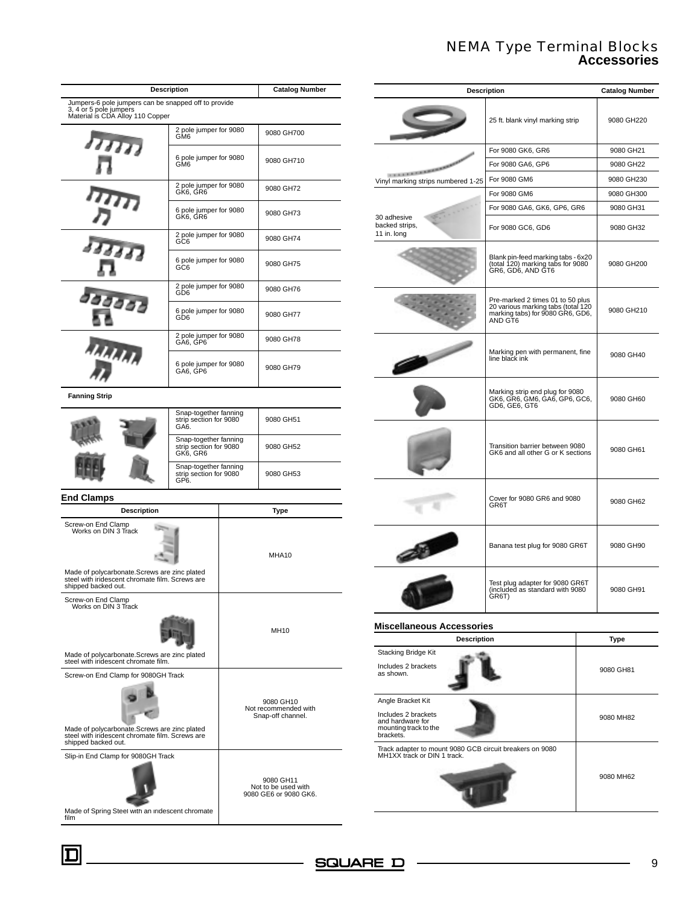#### NEMA Type Terminal Blocks **Accessories**

| <b>Description</b>                                                                                                     | <b>Catalog Number</b>                                       |       |                                                           |  |  |  |  |
|------------------------------------------------------------------------------------------------------------------------|-------------------------------------------------------------|-------|-----------------------------------------------------------|--|--|--|--|
| Jumpers-6 pole jumpers can be snapped off to provide<br>3, 4 or 5 pole jumpers<br>Material is CDA Alloy 110 Copper     |                                                             |       |                                                           |  |  |  |  |
|                                                                                                                        | 2 pole jumper for 9080<br>GM <sub>6</sub>                   |       | 9080 GH700                                                |  |  |  |  |
| <b>REELS</b>                                                                                                           | 6 pole jumper for 9080<br>GM6                               |       | 9080 GH710                                                |  |  |  |  |
| הההי                                                                                                                   | 2 pole jumper for 9080<br>GK6, GR6                          |       | 9080 GH72                                                 |  |  |  |  |
|                                                                                                                        | 6 pole jumper for 9080<br>GK6, GR6                          |       | 9080 GH73                                                 |  |  |  |  |
| 33333                                                                                                                  | 2 pole jumper for 9080<br>GC6                               |       | 9080 GH74                                                 |  |  |  |  |
|                                                                                                                        | 6 pole jumper for 9080<br>GC6                               |       | 9080 GH75                                                 |  |  |  |  |
|                                                                                                                        | 2 pole jumper for 9080<br>GD <sub>6</sub>                   |       | 9080 GH76                                                 |  |  |  |  |
| 444                                                                                                                    | 6 pole jumper for 9080<br>GD <sub>6</sub>                   |       | 9080 GH77                                                 |  |  |  |  |
|                                                                                                                        | 2 pole jumper for 9080<br>GA6, GP6                          |       | 9080 GH78                                                 |  |  |  |  |
| $\mu \mu \mu$                                                                                                          | 6 pole jumper for 9080<br>GA6, GP6                          |       | 9080 GH79                                                 |  |  |  |  |
| <b>Fanning Strip</b>                                                                                                   |                                                             |       |                                                           |  |  |  |  |
|                                                                                                                        | Snap-together fanning<br>strip section for 9080<br>GA6.     |       | 9080 GH51                                                 |  |  |  |  |
|                                                                                                                        | Snap-together fanning<br>strip section for 9080<br>GK6, GR6 |       | 9080 GH52                                                 |  |  |  |  |
|                                                                                                                        | Snap-together fanning<br>strip section for 9080<br>GP6.     |       | 9080 GH53                                                 |  |  |  |  |
| <b>End Clamps</b>                                                                                                      |                                                             |       |                                                           |  |  |  |  |
| <b>Description</b>                                                                                                     |                                                             |       | Type                                                      |  |  |  |  |
| Screw-on End Clamp<br>Works on DIN 3 Track                                                                             |                                                             | MHA10 |                                                           |  |  |  |  |
| Made of polycarbonate.Screws are zinc plated<br>steel with iridescent chromate film. Screws are<br>shipped backed out. |                                                             |       |                                                           |  |  |  |  |
| Screw-on End Clamp<br>Works on DIN 3 Track                                                                             |                                                             |       |                                                           |  |  |  |  |
|                                                                                                                        |                                                             | MH10  |                                                           |  |  |  |  |
| Made of polycarbonate.Screws are zinc plated<br>steel with iridescent chromate film.                                   |                                                             |       |                                                           |  |  |  |  |
| Screw-on End Clamp for 9080GH Track                                                                                    |                                                             |       |                                                           |  |  |  |  |
| Made of polycarbonate. Screws are zinc plated<br>steel with iridescent chromate film. Screws are                       |                                                             |       | 9080 GH10<br>Not recommended with<br>Snap-off channel.    |  |  |  |  |
| shipped backed out.<br>Slip-in End Clamp for 9080GH Track                                                              |                                                             |       |                                                           |  |  |  |  |
| Made of Spring Steel with an iridescent chromate<br>film                                                               |                                                             |       | 9080 GH11<br>Not to be used with<br>9080 GE6 or 9080 GK6. |  |  |  |  |

| <b>Description</b>                                        | <b>Catalog Number</b>                                                                                                 |            |
|-----------------------------------------------------------|-----------------------------------------------------------------------------------------------------------------------|------------|
|                                                           | 25 ft. blank vinyl marking strip                                                                                      | 9080 GH220 |
|                                                           | For 9080 GK6, GR6                                                                                                     | 9080 GH21  |
|                                                           | For 9080 GA6, GP6                                                                                                     | 9080 GH22  |
| <b>ALLES ENERGY</b><br>Vinyl marking strips numbered 1-25 | For 9080 GM6                                                                                                          | 9080 GH230 |
|                                                           | For 9080 GM6                                                                                                          | 9080 GH300 |
|                                                           | For 9080 GA6, GK6, GP6, GR6                                                                                           | 9080 GH31  |
| 30 adhesive<br>backed strips,<br>11 in. long              | For 9080 GC6, GD6                                                                                                     | 9080 GH32  |
|                                                           | Blank pin-feed marking tabs - 6x20<br>(total 120) marking tabs for 9080<br>GR6, GD6, AND GT6                          | 9080 GH200 |
|                                                           | Pre-marked 2 times 01 to 50 plus<br>20 various marking tabs (total 120<br>marking tabs) for 9080 GR6, GD6,<br>AND GT6 | 9080 GH210 |
|                                                           | Marking pen with permanent, fine<br>line black ink                                                                    | 9080 GH40  |
|                                                           | Marking strip end plug for 9080<br>GK6, GR6, GM6, GA6, GP6, GC6,<br>GD6, GE6, GT6                                     | 9080 GH60  |
|                                                           | Transition barrier between 9080<br>GK6 and all other G or K sections                                                  | 9080 GH61  |
|                                                           | Cover for 9080 GR6 and 9080<br>GR6T                                                                                   | 9080 GH62  |
|                                                           | Banana test plug for 9080 GR6T                                                                                        | 9080 GH90  |
|                                                           | Test plug adapter for 9080 GR6T<br>(included as standard with 9080<br>GR6T)                                           | 9080 GH91  |

**Miscellaneous Accessories**

| <b>Description</b>                                                                      | <b>Type</b> |  |  |
|-----------------------------------------------------------------------------------------|-------------|--|--|
| Stacking Bridge Kit                                                                     |             |  |  |
| Includes 2 brackets<br>as shown.                                                        | 9080 GH81   |  |  |
| Angle Bracket Kit                                                                       |             |  |  |
| Includes 2 brackets<br>and hardware for<br>mounting track to the<br>brackets.           | 9080 MH82   |  |  |
| Track adapter to mount 9080 GCB circuit breakers on 9080<br>MH1XX track or DIN 1 track. |             |  |  |
|                                                                                         | 9080 MH62   |  |  |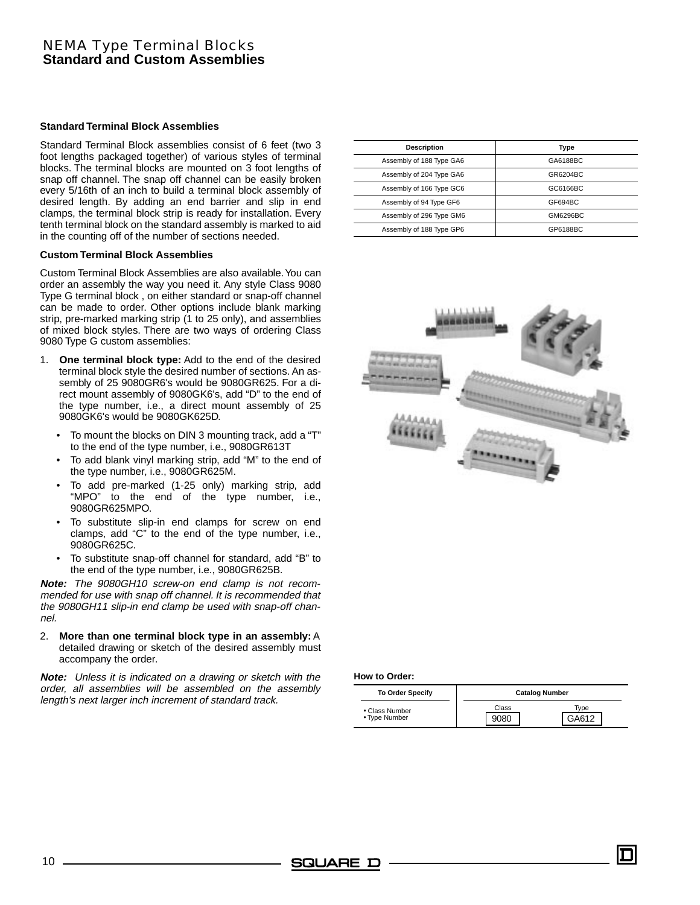#### **Standard Terminal Block Assemblies**

Standard Terminal Block assemblies consist of 6 feet (two 3 foot lengths packaged together) of various styles of terminal blocks. The terminal blocks are mounted on 3 foot lengths of snap off channel. The snap off channel can be easily broken every 5/16th of an inch to build a terminal block assembly of desired length. By adding an end barrier and slip in end clamps, the terminal block strip is ready for installation. Every tenth terminal block on the standard assembly is marked to aid in the counting off of the number of sections needed.

#### **Custom Terminal Block Assemblies**

Custom Terminal Block Assemblies are also available. You can order an assembly the way you need it. Any style Class 9080 Type G terminal block , on either standard or snap-off channel can be made to order. Other options include blank marking strip, pre-marked marking strip (1 to 25 only), and assemblies of mixed block styles. There are two ways of ordering Class 9080 Type G custom assemblies:

- 1. **One terminal block type:** Add to the end of the desired terminal block style the desired number of sections. An assembly of 25 9080GR6's would be 9080GR625. For a direct mount assembly of 9080GK6's, add "D" to the end of the type number, i.e., a direct mount assembly of 25 9080GK6's would be 9080GK625D.
	- To mount the blocks on DIN 3 mounting track, add a "T" to the end of the type number, i.e., 9080GR613T
	- To add blank vinyl marking strip, add "M" to the end of the type number, i.e., 9080GR625M.
	- To add pre-marked (1-25 only) marking strip, add "MPO" to the end of the type number, i.e., 9080GR625MPO.
	- To substitute slip-in end clamps for screw on end clamps, add "C" to the end of the type number, i.e., 9080GR625C.
	- To substitute snap-off channel for standard, add "B" to the end of the type number, i.e., 9080GR625B.

**Note:** The 9080GH10 screw-on end clamp is not recommended for use with snap off channel. It is recommended that the 9080GH11 slip-in end clamp be used with snap-off channel.

2. **More than one terminal block type in an assembly:** A detailed drawing or sketch of the desired assembly must accompany the order.

**Note:** Unless it is indicated on a drawing or sketch with the order, all assemblies will be assembled on the assembly length's next larger inch increment of standard track.

| <b>Description</b>       | Type     |
|--------------------------|----------|
| Assembly of 188 Type GA6 | GA6188BC |
| Assembly of 204 Type GA6 | GR6204BC |
| Assembly of 166 Type GC6 | GC6166BC |
| Assembly of 94 Type GF6  | GF694BC  |
| Assembly of 296 Type GM6 | GM6296BC |
| Assembly of 188 Type GP6 | GP6188BC |



#### **How to Order:**

| <b>To Order Specify</b> | <b>Catalog Number</b> |       |  |  |  |
|-------------------------|-----------------------|-------|--|--|--|
| • Class Number          | Class                 | vpe   |  |  |  |
| • Type Number           | 9080                  | 3A612 |  |  |  |

 $\bf\bf\Gamma$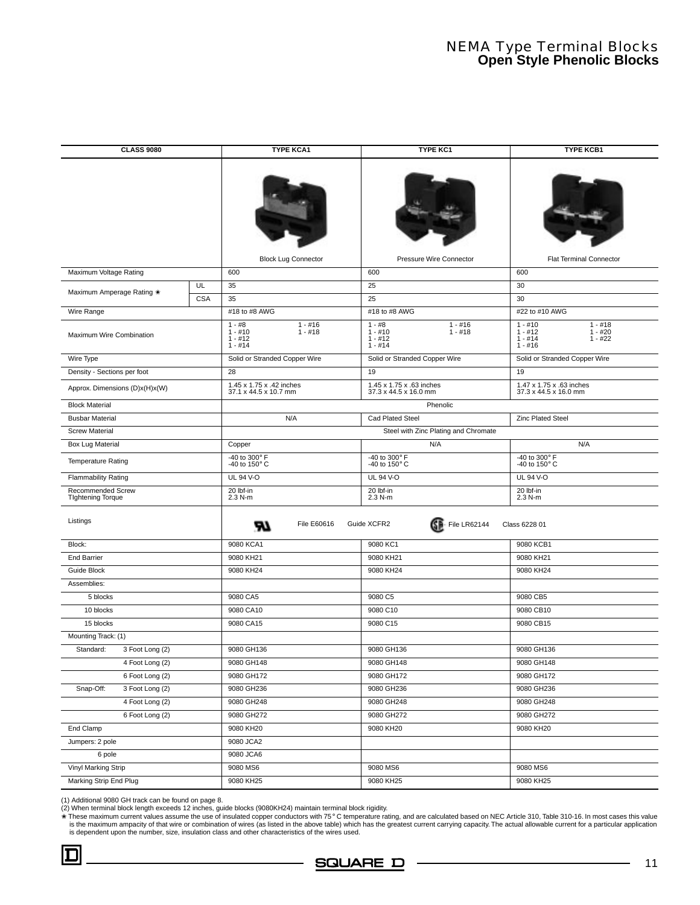| <b>CLASS 9080</b>                             |            | <b>TYPE KCA1</b>                                                          | TYPE KC1                                                                  | <b>TYPE KCB1</b>                                                                        |
|-----------------------------------------------|------------|---------------------------------------------------------------------------|---------------------------------------------------------------------------|-----------------------------------------------------------------------------------------|
|                                               |            | <b>Block Lug Connector</b>                                                | Pressure Wire Connector                                                   | <b>Flat Terminal Connector</b>                                                          |
| Maximum Voltage Rating                        |            | 600                                                                       | 600                                                                       | 600                                                                                     |
|                                               | UL         | 35                                                                        | 25                                                                        | 30                                                                                      |
| Maximum Amperage Rating *                     | <b>CSA</b> | 35                                                                        | 25                                                                        | 30                                                                                      |
| Wire Range                                    |            | #18 to #8 AWG                                                             | #18 to #8 AWG                                                             | #22 to #10 AWG                                                                          |
| Maximum Wire Combination                      |            | $1 - #8$<br>$1 - #16$<br>$1 - #10$<br>$1 - #18$<br>$1 - #12$<br>$1 - #14$ | $1 - #8$<br>$1 - #16$<br>$1 - #10$<br>$1 - #18$<br>$1 - #12$<br>$1 - #14$ | $1 - #10$<br>$1 - #18$<br>$1 - #20$<br>$1 - #12$<br>$1 - #14$<br>$1 - #22$<br>$1 - #16$ |
| Wire Type                                     |            | Solid or Stranded Copper Wire                                             | Solid or Stranded Copper Wire                                             | Solid or Stranded Copper Wire                                                           |
| Density - Sections per foot                   |            | 28                                                                        | 19                                                                        | 19                                                                                      |
| Approx. Dimensions (D)x(H)x(W)                |            | 1.45 x 1.75 x .42 inches<br>37.1 x 44.5 x 10.7 mm                         | 1.45 x 1.75 x .63 inches<br>37.3 x 44.5 x 16.0 mm                         | 1.47 x 1.75 x .63 inches<br>37.3 x 44.5 x 16.0 mm                                       |
| <b>Block Material</b>                         |            |                                                                           | Phenolic                                                                  |                                                                                         |
| <b>Busbar Material</b>                        |            | N/A                                                                       | Cad Plated Steel                                                          | <b>Zinc Plated Steel</b>                                                                |
| <b>Screw Material</b>                         |            | Steel with Zinc Plating and Chromate                                      |                                                                           |                                                                                         |
| Box Lug Material                              |            | Copper                                                                    | N/A                                                                       | N/A                                                                                     |
| <b>Temperature Rating</b>                     |            | -40 to 300° F<br>-40 to 150° C                                            | -40 to 300° F<br>-40 to 150° C                                            | -40 to 300° F<br>-40 to 150° C                                                          |
| <b>Flammability Rating</b>                    |            | <b>UL 94 V-O</b>                                                          | <b>UL 94 V-O</b>                                                          | <b>UL 94 V-O</b>                                                                        |
| Recommended Screw<br><b>Tightening Torque</b> |            | 20 lbf-in<br>2.3 N-m                                                      | 20 lbf-in<br>2.3 N-m                                                      | 20 lbf-in<br>2.3 N-m                                                                    |
| Listings                                      |            | File E60616<br>A7                                                         | Guide XCFR2<br><b>File LR62144</b>                                        | Class 6228 01                                                                           |
| Block:                                        |            | 9080 KCA1                                                                 | 9080 KC1                                                                  | 9080 KCB1                                                                               |
| <b>End Barrier</b>                            |            | 9080 KH21                                                                 | 9080 KH21                                                                 | 9080 KH21                                                                               |
| Guide Block                                   |            | 9080 KH24                                                                 | 9080 KH24                                                                 | 9080 KH24                                                                               |
| Assemblies:                                   |            |                                                                           |                                                                           |                                                                                         |
| 5 blocks                                      |            | 9080 CA5                                                                  | 9080 C5                                                                   | 9080 CB5                                                                                |
| 10 blocks                                     |            | 9080 CA10                                                                 | 9080 C10                                                                  | 9080 CB10                                                                               |
| 15 blocks                                     |            | 9080 CA15                                                                 | 9080 C15                                                                  | 9080 CB15                                                                               |
| Mounting Track: (1)                           |            |                                                                           |                                                                           |                                                                                         |
| Standard:<br>3 Foot Long (2)                  |            | 9080 GH136                                                                | 9080 GH136                                                                | 9080 GH136                                                                              |
| 4 Foot Long (2)                               |            | 9080 GH148                                                                | 9080 GH148                                                                | 9080 GH148                                                                              |
| 6 Foot Long (2)                               |            | 9080 GH172                                                                | 9080 GH172                                                                | 9080 GH172                                                                              |
| Snap-Off:<br>3 Foot Long (2)                  |            | 9080 GH236                                                                | 9080 GH236                                                                | 9080 GH236                                                                              |
| 4 Foot Long (2)                               |            | 9080 GH248                                                                | 9080 GH248                                                                | 9080 GH248                                                                              |
| 6 Foot Long (2)                               |            | 9080 GH272                                                                | 9080 GH272                                                                | 9080 GH272                                                                              |
| End Clamp                                     |            | 9080 KH20                                                                 | 9080 KH20                                                                 | 9080 KH20                                                                               |
| Jumpers: 2 pole                               |            | 9080 JCA2                                                                 |                                                                           |                                                                                         |
| 6 pole                                        |            | 9080 JCA6                                                                 |                                                                           |                                                                                         |
| Vinyl Marking Strip                           |            | 9080 MS6                                                                  | 9080 MS6                                                                  | 9080 MS6                                                                                |
| Marking Strip End Plug<br>9080 KH25           |            | 9080 KH25                                                                 | 9080 KH25                                                                 |                                                                                         |

ID

(1) Additional 9080 GH track can be found on page 8.<br>
(2) When terminal block length exceeds 12 inches, guide blocks (9080KH24) maintain terminal block rigidity.<br>
\* These maximum current values assume the use of insulated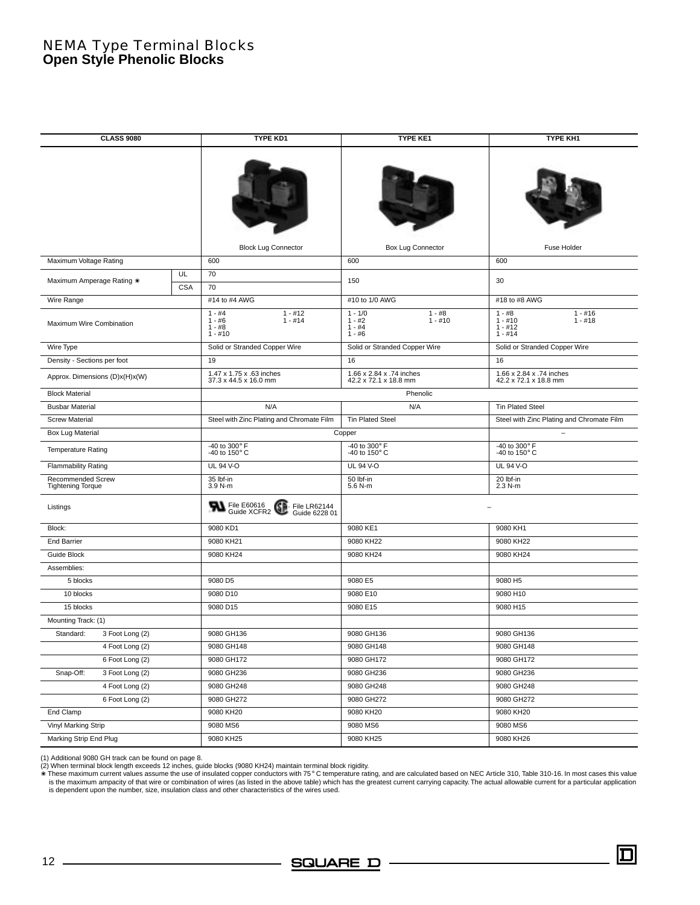| <b>CLASS 9080</b>                             |                                            | <b>TYPE KD1</b>                                                         | <b>TYPE KE1</b>                                                        | <b>TYPE KH1</b>                                                           |  |
|-----------------------------------------------|--------------------------------------------|-------------------------------------------------------------------------|------------------------------------------------------------------------|---------------------------------------------------------------------------|--|
|                                               |                                            |                                                                         |                                                                        |                                                                           |  |
|                                               |                                            | <b>Block Lug Connector</b>                                              | <b>Box Lug Connector</b>                                               | Fuse Holder                                                               |  |
| Maximum Voltage Rating                        |                                            | 600                                                                     | 600                                                                    | 600                                                                       |  |
| Maximum Amperage Rating *                     | UL<br><b>CSA</b>                           | 70<br>70                                                                | 150                                                                    | 30                                                                        |  |
| Wire Range                                    |                                            | #14 to #4 AWG                                                           | #10 to 1/0 AWG                                                         | #18 to #8 AWG                                                             |  |
| Maximum Wire Combination                      |                                            | $1 - #4$<br>$1 - #12$<br>$1 - #6$<br>$1 - #14$<br>$1 - #8$<br>$1 - #10$ | $1 - 1/0$<br>$1 - #8$<br>$1 - #2$<br>$1 - #10$<br>$1 - #4$<br>$1 - #6$ | $1 - #8$<br>$1 - #16$<br>$1 - #10$<br>$1 - #18$<br>$1 - #12$<br>$1 - #14$ |  |
| Wire Type                                     |                                            | Solid or Stranded Copper Wire                                           | Solid or Stranded Copper Wire                                          | Solid or Stranded Copper Wire                                             |  |
| Density - Sections per foot                   |                                            | 19                                                                      | 16                                                                     | 16                                                                        |  |
| Approx. Dimensions (D)x(H)x(W)                |                                            | 1.47 x 1.75 x .63 inches<br>37.3 x 44.5 x 16.0 mm                       | 1.66 x 2.84 x .74 inches<br>42.2 x 72.1 x 18.8 mm                      | 1.66 x 2.84 x .74 inches<br>42.2 x 72.1 x 18.8 mm                         |  |
| <b>Block Material</b>                         |                                            |                                                                         | Phenolic                                                               |                                                                           |  |
| <b>Busbar Material</b>                        |                                            | N/A                                                                     | N/A                                                                    | <b>Tin Plated Steel</b>                                                   |  |
| <b>Screw Material</b>                         |                                            | Steel with Zinc Plating and Chromate Film                               | <b>Tin Plated Steel</b>                                                | Steel with Zinc Plating and Chromate Film                                 |  |
| <b>Box Lug Material</b>                       |                                            |                                                                         | Copper                                                                 | $\equiv$                                                                  |  |
| <b>Temperature Rating</b>                     |                                            | -40 to 300° F<br>-40 to 150° C                                          | -40 to 300° F<br>-40 to 150° C                                         | -40 to 300° F<br>-40 to 150° C                                            |  |
| <b>Flammability Rating</b>                    |                                            | <b>UL 94 V-O</b>                                                        | <b>UL 94 V-O</b>                                                       | <b>UL 94 V-O</b>                                                          |  |
| Recommended Screw<br><b>Tightening Torque</b> |                                            | 35 lbf-in<br>3.9 N-m                                                    | 50 lbf-in<br>5.6 N-m                                                   | 20 lbf-in<br>2.3 N-m                                                      |  |
| Listings                                      |                                            | <b>W</b> File E60616<br>El File LR62144<br>Guide 6228 01                |                                                                        |                                                                           |  |
| Block:                                        |                                            | 9080 KD1                                                                | 9080 KE1                                                               | 9080 KH1                                                                  |  |
| <b>End Barrier</b>                            |                                            | 9080 KH21                                                               | 9080 KH22                                                              | 9080 KH22                                                                 |  |
| Guide Block                                   |                                            | 9080 KH24                                                               | 9080 KH24                                                              | 9080 KH24                                                                 |  |
| Assemblies:                                   |                                            |                                                                         |                                                                        |                                                                           |  |
| 5 blocks                                      |                                            | 9080 D5                                                                 | 9080 E5                                                                | 9080 H5                                                                   |  |
| 10 blocks                                     |                                            | 9080 D10                                                                | 9080 E10                                                               | 9080 H10                                                                  |  |
| 15 blocks                                     |                                            | 9080 D15                                                                | 9080 E15                                                               | 9080 H15                                                                  |  |
| Mounting Track: (1)                           |                                            |                                                                         |                                                                        |                                                                           |  |
|                                               | Standard:<br>9080 GH136<br>3 Foot Long (2) |                                                                         | 9080 GH136                                                             | 9080 GH136                                                                |  |
| 4 Foot Long (2)                               |                                            | 9080 GH148                                                              | 9080 GH148                                                             | 9080 GH148                                                                |  |
| 6 Foot Long (2)                               |                                            | 9080 GH172                                                              | 9080 GH172                                                             | 9080 GH172                                                                |  |
| Snap-Off:<br>3 Foot Long (2)                  |                                            | 9080 GH236                                                              | 9080 GH236                                                             | 9080 GH236                                                                |  |
| 4 Foot Long (2)                               |                                            | 9080 GH248                                                              | 9080 GH248                                                             | 9080 GH248                                                                |  |
| 6 Foot Long (2)                               |                                            | 9080 GH272                                                              | 9080 GH272                                                             | 9080 GH272                                                                |  |
| End Clamp                                     |                                            | 9080 KH20                                                               | 9080 KH20                                                              | 9080 KH20                                                                 |  |
| Vinyl Marking Strip                           |                                            | 9080 MS6                                                                | 9080 MS6                                                               | 9080 MS6                                                                  |  |
| Marking Strip End Plug<br>9080 KH25           |                                            |                                                                         | 9080 KH25                                                              | 9080 KH26                                                                 |  |

(1) Additional 9080 GH track can be found on page 8.

(2) When terminal block length exceeds 12 inches, guide blocks (9080 KH24) maintain terminal block rigidity.<br>\* These maximum current values assume the use of insulated copper conductors with 75°C temperature rating, and<br>i is dependent upon the number, size, insulation class and other characteristics of the wires used.

 $\overline{\mathbf{D}}$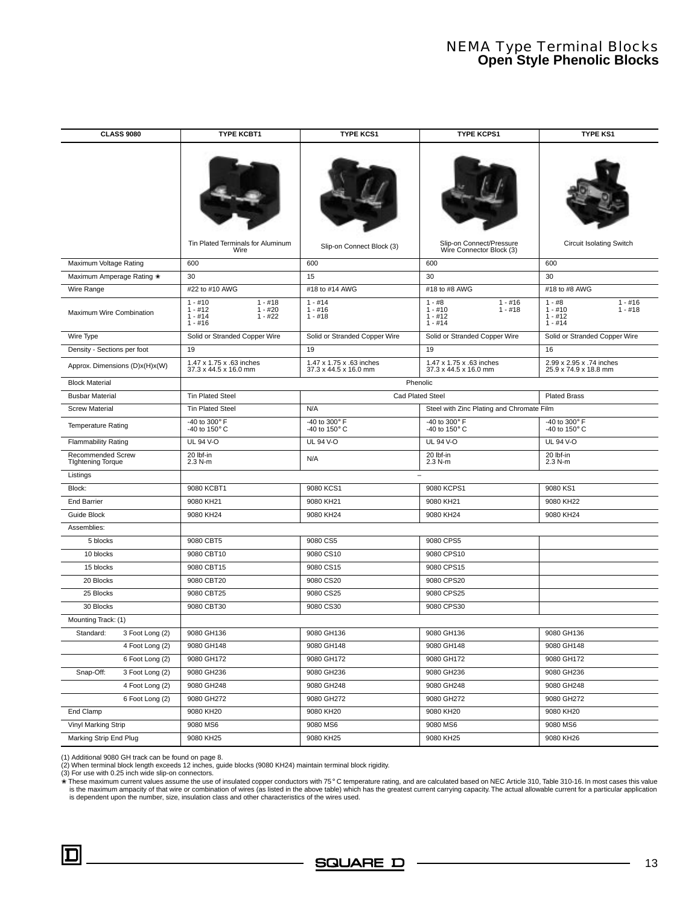| <b>CLASS 9080</b>                             | <b>TYPE KCBT1</b>                                                                       | TYPE KCS1                                         | <b>TYPE KCPS1</b>                                                         | <b>TYPE KS1</b>                                                           |
|-----------------------------------------------|-----------------------------------------------------------------------------------------|---------------------------------------------------|---------------------------------------------------------------------------|---------------------------------------------------------------------------|
|                                               |                                                                                         |                                                   |                                                                           |                                                                           |
|                                               | Tin Plated Terminals for Aluminum<br>Wire                                               | Slip-on Connect Block (3)                         | Slip-on Connect/Pressure<br>Wire Connector Block (3)                      | <b>Circuit Isolating Switch</b>                                           |
| Maximum Voltage Rating                        | 600                                                                                     | 600                                               | 600                                                                       | 600                                                                       |
| Maximum Amperage Rating *                     | 30                                                                                      | 15                                                | 30                                                                        | 30                                                                        |
| Wire Range                                    | #22 to #10 AWG                                                                          | #18 to #14 AWG                                    | #18 to #8 AWG                                                             | #18 to #8 AWG                                                             |
| Maximum Wire Combination                      | $1 - #10$<br>$1 - #18$<br>$1 - #12$<br>$1 - #20$<br>$1 - #14$<br>$1 - #22$<br>$1 - #16$ | $1 - #14$<br>$1 - #16$<br>$1 - #18$               | $1 - #8$<br>$1 - #16$<br>$1 - #10$<br>$1 - #18$<br>$1 - #12$<br>$1 - #14$ | $1 - #8$<br>$1 - #16$<br>$1 - #10$<br>$1 - #18$<br>$1 - #12$<br>$1 - #14$ |
| Wire Type                                     | Solid or Stranded Copper Wire                                                           | Solid or Stranded Copper Wire                     | Solid or Stranded Copper Wire                                             | Solid or Stranded Copper Wire                                             |
| Density - Sections per foot                   | 19                                                                                      | 19                                                | 19                                                                        | 16                                                                        |
| Approx. Dimensions (D)x(H)x(W)                | 1.47 x 1.75 x .63 inches<br>37.3 x 44.5 x 16.0 mm                                       | 1.47 x 1.75 x .63 inches<br>37.3 x 44.5 x 16.0 mm | 1.47 x 1.75 x .63 inches<br>37.3 x 44.5 x 16.0 mm                         | 2.99 x 2.95 x .74 inches<br>25.9 x 74.9 x 18.8 mm                         |
| <b>Block Material</b>                         |                                                                                         |                                                   | Phenolic                                                                  |                                                                           |
| <b>Busbar Material</b>                        | <b>Tin Plated Steel</b>                                                                 |                                                   | Cad Plated Steel                                                          | <b>Plated Brass</b>                                                       |
| <b>Screw Material</b>                         | <b>Tin Plated Steel</b><br>N/A                                                          |                                                   | Steel with Zinc Plating and Chromate Film                                 |                                                                           |
| <b>Temperature Rating</b>                     | -40 to 300° F<br>-40 to 150° C                                                          | -40 to 300° F<br>-40 to 150 $\degree$ C           | -40 to 300° F<br>-40 to 150° C                                            | -40 to 300° F<br>-40 to 150 $\degree$ C                                   |
| <b>Flammability Rating</b>                    | <b>UL 94 V-O</b>                                                                        | <b>UL 94 V-O</b>                                  | <b>UL 94 V-O</b>                                                          | <b>UL 94 V-O</b>                                                          |
| Recommended Screw<br><b>Tightening Torque</b> | 20 lbf-in<br>$2.3$ N-m                                                                  | N/A                                               | 20 lbf-in<br>$2.3 N-m$                                                    | 20 lbf-in<br>$2.3$ N-m                                                    |
| Listings                                      |                                                                                         |                                                   |                                                                           |                                                                           |
| Block:                                        | 9080 KCBT1                                                                              | 9080 KCS1                                         | 9080 KCPS1                                                                | 9080 KS1                                                                  |
| <b>End Barrier</b>                            | 9080 KH21                                                                               | 9080 KH21                                         | 9080 KH21                                                                 | 9080 KH22                                                                 |
| Guide Block                                   | 9080 KH24                                                                               | 9080 KH24                                         | 9080 KH24                                                                 | 9080 KH24                                                                 |
| Assemblies:                                   |                                                                                         |                                                   |                                                                           |                                                                           |
| 5 blocks                                      | 9080 CBT5                                                                               | 9080 CS5                                          | 9080 CPS5                                                                 |                                                                           |
| 10 blocks                                     | 9080 CBT10                                                                              | 9080 CS10                                         | 9080 CPS10                                                                |                                                                           |
| 15 blocks                                     | 9080 CBT15                                                                              | 9080 CS15                                         | 9080 CPS15                                                                |                                                                           |
| 20 Blocks                                     | 9080 CBT20                                                                              | 9080 CS20                                         | 9080 CPS20                                                                |                                                                           |
| 25 Blocks                                     | 9080 CBT25                                                                              | 9080 CS25                                         | 9080 CPS25                                                                |                                                                           |
| 30 Blocks                                     | 9080 CBT30                                                                              | 9080 CS30                                         | 9080 CPS30                                                                |                                                                           |
| Mounting Track: (1)                           |                                                                                         |                                                   |                                                                           |                                                                           |
| Standard:<br>3 Foot Long (2)                  | 9080 GH136                                                                              | 9080 GH136                                        | 9080 GH136                                                                | 9080 GH136                                                                |
| 4 Foot Long (2)                               | 9080 GH148                                                                              | 9080 GH148                                        | 9080 GH148                                                                | 9080 GH148                                                                |
| 6 Foot Long (2)                               | 9080 GH172                                                                              | 9080 GH172                                        | 9080 GH172                                                                | 9080 GH172                                                                |
| Snap-Off:<br>3 Foot Long (2)                  | 9080 GH236                                                                              | 9080 GH236                                        | 9080 GH236                                                                | 9080 GH236                                                                |
| 4 Foot Long (2)                               | 9080 GH248                                                                              | 9080 GH248                                        | 9080 GH248                                                                | 9080 GH248                                                                |
| 6 Foot Long (2)                               | 9080 GH272                                                                              | 9080 GH272                                        | 9080 GH272                                                                | 9080 GH272                                                                |
| End Clamp                                     | 9080 KH20                                                                               | 9080 KH20                                         | 9080 KH20                                                                 | 9080 KH20                                                                 |
| Vinyl Marking Strip                           | 9080 MS6                                                                                | 9080 MS6                                          | 9080 MS6                                                                  | 9080 MS6                                                                  |
| Marking Strip End Plug                        | 9080 KH25                                                                               | 9080 KH25                                         | 9080 KH25                                                                 | 9080 KH26                                                                 |

(1) Additional 9080 GH track can be found on page 8.<br>(2) When terminal block length exceeds 12 inches, guide blocks (9080 KH24) maintain terminal block rigidity.<br>(3) For use with 0.25 inch wide slip-on connectors.<br>(3) For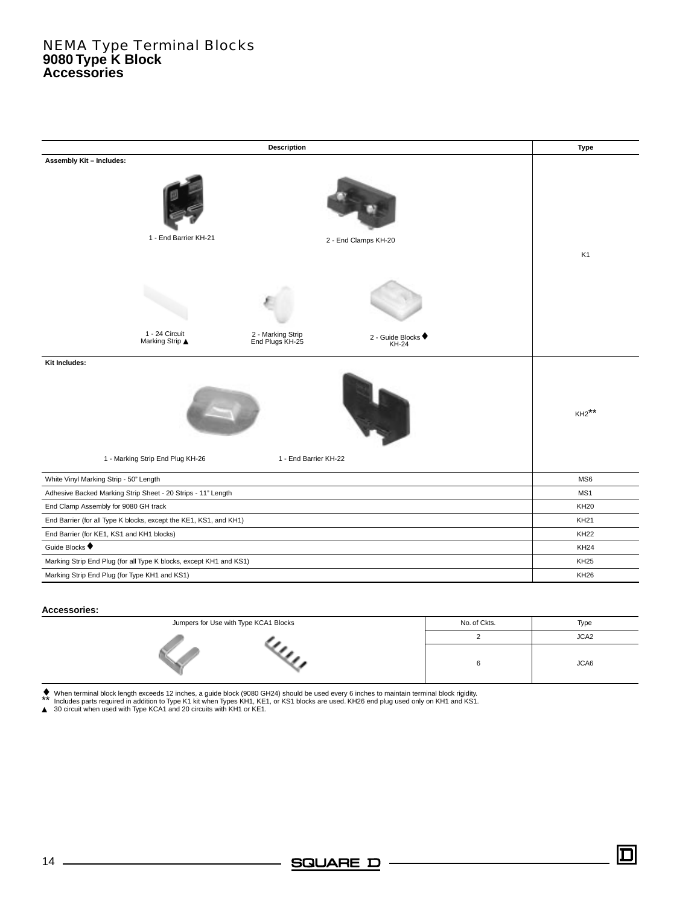#### NEMA Type Terminal Blocks **9080 Type K Block Accessories**

| <b>Description</b>                                                        |                                      |                                    | <b>Type</b>     |
|---------------------------------------------------------------------------|--------------------------------------|------------------------------------|-----------------|
| Assembly Kit - Includes:<br>1 - End Barrier KH-21<br>2 - End Clamps KH-20 |                                      |                                    |                 |
| 1 - 24 Circuit<br>Marking Strip ▲                                         | 2 - Marking Strip<br>End Plugs KH-25 | 2 - Guide Blocks ♦<br><b>KH-24</b> | K <sub>1</sub>  |
| Kit Includes:<br>1 - Marking Strip End Plug KH-26                         | $KH2**$                              |                                    |                 |
| White Vinyl Marking Strip - 50" Length                                    |                                      |                                    | MS <sub>6</sub> |
| Adhesive Backed Marking Strip Sheet - 20 Strips - 11" Length              |                                      |                                    | MS1             |
| End Clamp Assembly for 9080 GH track                                      |                                      |                                    | <b>KH20</b>     |
| End Barrier (for all Type K blocks, except the KE1, KS1, and KH1)         |                                      |                                    | <b>KH21</b>     |
| End Barrier (for KE1, KS1 and KH1 blocks)                                 |                                      |                                    | <b>KH22</b>     |
| Guide Blocks ♦                                                            | <b>KH24</b>                          |                                    |                 |
| Marking Strip End Plug (for all Type K blocks, except KH1 and KS1)        | <b>KH25</b>                          |                                    |                 |
| Marking Strip End Plug (for Type KH1 and KS1)                             |                                      |                                    | <b>KH26</b>     |

**Accessories:**

| Jumpers for Use with Type KCA1 Blocks | No. of Ckts. | Type |
|---------------------------------------|--------------|------|
|                                       |              | JCA2 |
|                                       |              | JCA6 |

♦ When terminal block length exceeds 12 inches, a guide block (9080 GH24) should be used every 6 inches to maintain terminal block rigidity.<br>\*\* Includes parts required in addition to Type K1 kit when Types KH1, KE1, or KS

回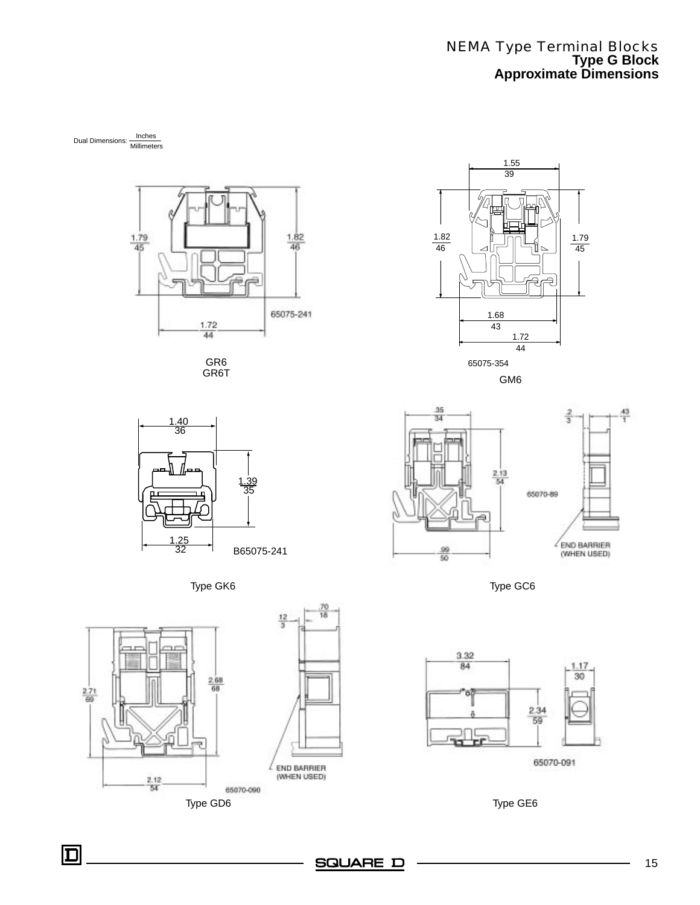Dual Dimensions: **Inches**<br>Millimeters















GM6



Type GC6



Type GE6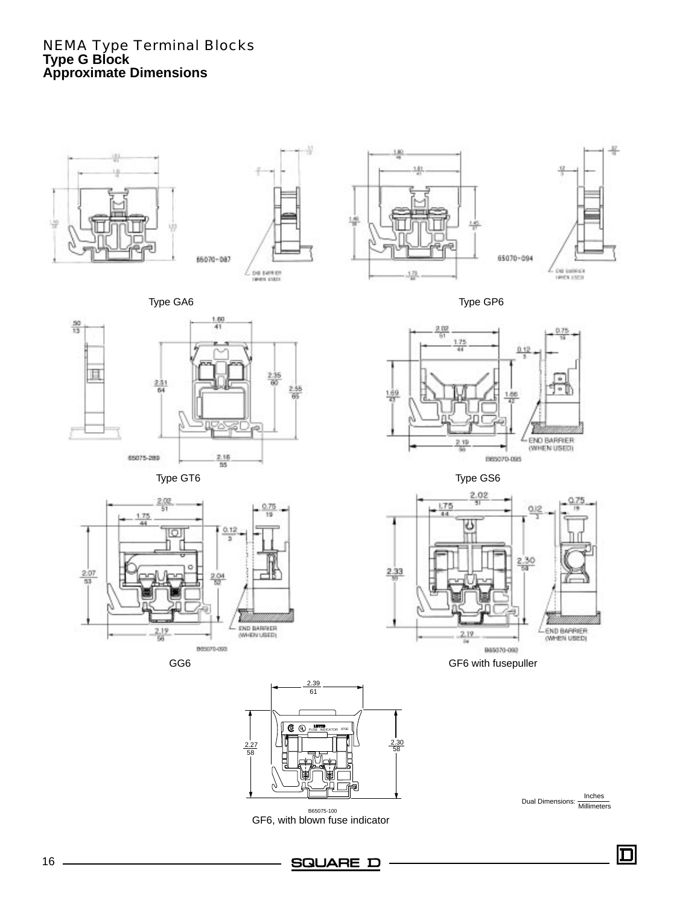#### NEMA Type Terminal Blocks **Type G Block Approximate Dimensions**



 $\frac{50}{13}$ 







0.75

Type GA6 Type GP6





GG6 GG6 GF6 with fusepuller

Dual Dimensions: **Inches**<br>Millimeters

 $\frac{1.00}{41}$ Π  $\frac{2.51}{64}$  $rac{2.53}{65}$ ø 65075-289  $\frac{2.16}{55}$ 

Type GT6 Type GS6







GF6, with blown fuse indicator

回

**SQUARE D**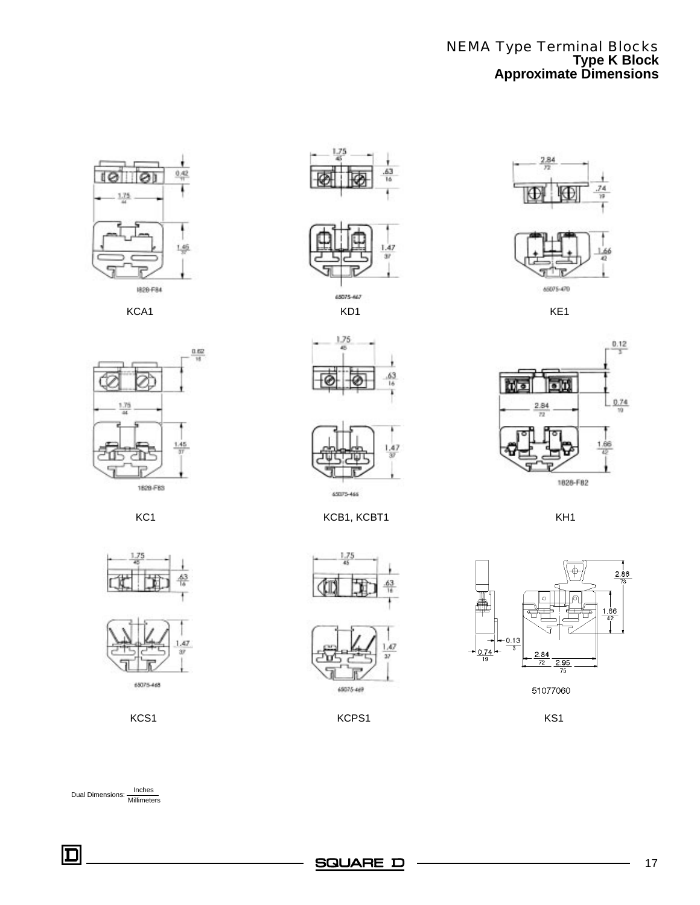#### NEMA Type Terminal Blocks **Type K Block Approximate Dimensions**

 $\frac{2.84}{72}$ 

65075-470

同頭

2.84 72

m -

 $\frac{74}{19}$ 

66

 $\frac{0.12}{3}$ 

 $\frac{0.74}{10}$ 



















65075-667 KCA1 KD1 KE1





KC1 KCB1, KCB1, KCBT1 KH1

1828-F82







Dual Dimensions: Inches<br>Millimeters

 $\overline{\mathbf{D}}$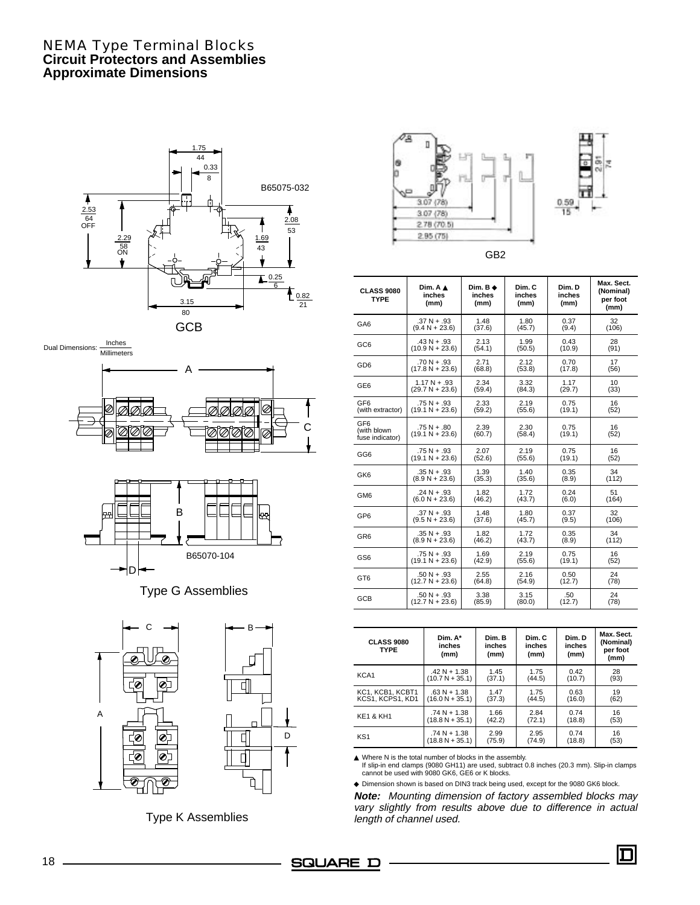#### NEMA Type Terminal Blocks **Circuit Protectors and Assemblies Approximate Dimensions**



Dual Dimensions: **Inches**<br>Millimeters





### Type G Assemblies



Type K Assemblies





GB2

| <b>CLASS 9080</b><br><b>TYPE</b>                  | Dim. $A \triangleq$<br>inches<br>(mm) | Dim. $B \triangleleft$<br>inches<br>(mm) | Dim. C<br>inches<br>(mm) | Dim. D<br>inches<br>(mm) | Max. Sect.<br>(Nominal)<br>per foot<br>(mm) |
|---------------------------------------------------|---------------------------------------|------------------------------------------|--------------------------|--------------------------|---------------------------------------------|
| GA <sub>6</sub>                                   | $.37 N + .93$                         | 1.48                                     | 1.80                     | 0.37                     | 32                                          |
|                                                   | $(9.4 N + 23.6)$                      | (37.6)                                   | (45.7)                   | (9.4)                    | (106)                                       |
| GC <sub>6</sub>                                   | $.43 N + .93$                         | 2.13                                     | 1.99                     | 0.43                     | 28                                          |
|                                                   | $(10.9 N + 23.6)$                     | (54.1)                                   | (50.5)                   | (10.9)                   | (91)                                        |
| GD <sub>6</sub>                                   | $.70 N + .93$                         | 2.71                                     | 2.12                     | 0.70                     | 17                                          |
|                                                   | $(17.8 N + 23.6)$                     | (68.8)                                   | (53.8)                   | (17.8)                   | (56)                                        |
| GE <sub>6</sub>                                   | $1.17 N + .93$                        | 2.34                                     | 3.32                     | 1.17                     | 10                                          |
|                                                   | $(29.7 N + 23.6)$                     | (59.4)                                   | (84.3)                   | (29.7)                   | (33)                                        |
| GF <sub>6</sub>                                   | $.75 N + .93$                         | 2.33                                     | 2.19                     | 0.75                     | 16                                          |
| (with extractor)                                  | $(19.1 N + 23.6)$                     | (59.2)                                   | (55.6)                   | (19.1)                   | (52)                                        |
| GF <sub>6</sub><br>(with blown<br>fuse indicator) | $.75 N + .80$<br>$(19.1 N + 23.6)$    | 2.39<br>(60.7)                           | 2.30<br>(58.4)           | 0.75<br>(19.1)           | 16<br>(52)                                  |
| GG <sub>6</sub>                                   | $.75 N + .93$                         | 2.07                                     | 2.19                     | 0.75                     | 16                                          |
|                                                   | $(19.1 N + 23.6)$                     | (52.6)                                   | (55.6)                   | (19.1)                   | (52)                                        |
| GK <sub>6</sub>                                   | $.35 N + .93$                         | 1.39                                     | 1.40                     | 0.35                     | 34                                          |
|                                                   | $(8.9 N + 23.6)$                      | (35.3)                                   | (35.6)                   | (8.9)                    | (112)                                       |
| GM <sub>6</sub>                                   | $.24 N + .93$                         | 1.82                                     | 1.72                     | 0.24                     | 51                                          |
|                                                   | $(6.0 N + 23.6)$                      | (46.2)                                   | (43.7)                   | (6.0)                    | (164)                                       |
| GP <sub>6</sub>                                   | $.37 N + .93$                         | 1.48                                     | 1.80                     | 0.37                     | 32                                          |
|                                                   | $(9.5 N + 23.6)$                      | (37.6)                                   | (45.7)                   | (9.5)                    | (106)                                       |
| GR <sub>6</sub>                                   | $.35 N + .93$                         | 1.82                                     | 1.72                     | 0.35                     | 34                                          |
|                                                   | $(8.9 N + 23.6)$                      | (46.2)                                   | (43.7)                   | (8.9)                    | (112)                                       |
| GS <sub>6</sub>                                   | $.75 N + .93$                         | 1.69                                     | 2.19                     | 0.75                     | 16                                          |
|                                                   | $(19.1 N + 23.6)$                     | (42.9)                                   | (55.6)                   | (19.1)                   | (52)                                        |
| GT <sub>6</sub>                                   | $.50 N + .93$                         | 2.55                                     | 2.16                     | 0.50                     | 24                                          |
|                                                   | $(12.7 N + 23.6)$                     | (64.8)                                   | (54.9)                   | (12.7)                   | (78)                                        |
| <b>GCB</b>                                        | $.50 N + .93$                         | 3.38                                     | 3.15                     | .50                      | 24                                          |
|                                                   | $(12.7 N + 23.6)$                     | (85.9)                                   | (80.0)                   | (12.7)                   | (78)                                        |

| <b>CLASS 9080</b><br><b>TYPE</b> | Dim. A*<br>inches<br>(mm) | Dim. B<br>inches<br>(mm) | Dim. C<br>inches<br>(mm) | Dim. D<br>inches<br>(mm) | Max. Sect.<br>(Nominal)<br>per foot<br>(mm) |
|----------------------------------|---------------------------|--------------------------|--------------------------|--------------------------|---------------------------------------------|
| KCA <sub>1</sub>                 | $.42 N + 1.38$            | 1.45                     | 1.75                     | 0.42                     | 28                                          |
|                                  | $(10.7 N + 35.1)$         | (37.1)                   | (44.5)                   | (10.7)                   | (93)                                        |
| KC1, KCB1, KCBT1                 | $.63 N + 1.38$            | 1.47                     | 1.75                     | 0.63                     | 19                                          |
| KCS1, KCPS1, KD1                 | $(16.0 N + 35.1)$         | (37.3)                   | (44.5)                   | (16.0)                   | (62)                                        |
| <b>KE1 &amp; KH1</b>             | $.74 N + 1.38$            | 1.66                     | 2.84                     | 0.74                     | 16                                          |
|                                  | $(18.8 N + 35.1)$         | (42.2)                   | (72.1)                   | (18.8)                   | (53)                                        |
| KS <sub>1</sub>                  | $.74 N + 1.38$            | 2.99                     | 2.95                     | 0.74                     | 16                                          |
|                                  | $(18.8 N + 35.1)$         | (75.9)                   | (74.9)                   | (18.8)                   | (53)                                        |

▲ Where N is the total number of blocks in the assembly.<br>If slip-in end clamps (9080 GH11) are used, subtract 0.8 inches (20.3 mm). Slip-in clamps<br>cannot be used with 9080 GK6, GE6 or K blocks.

◆ Dimension shown is based on DIN3 track being used, except for the 9080 GK6 block.

**Note:** Mounting dimension of factory assembled blocks may vary slightly from results above due to difference in actual length of channel used.

 $\overline{\mathbf{D}}$ 

**SQUARE D**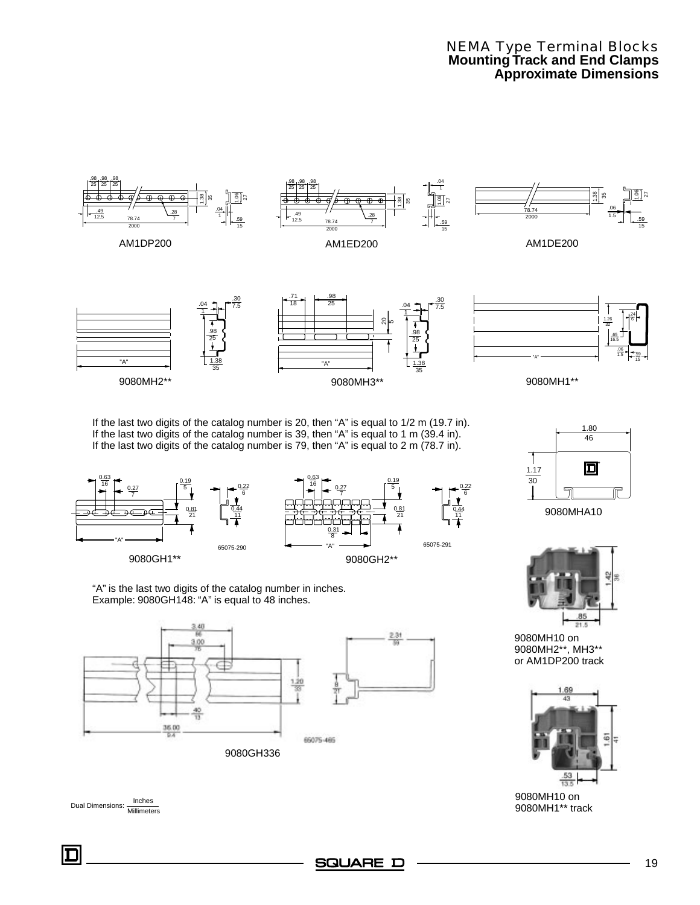#### NEMA Type Terminal Blocks **Mounting Track and End Clamps Approximate Dimensions**



If the last two digits of the catalog number is 20, then "A" is equal to 1/2 m (19.7 in). If the last two digits of the catalog number is 39, then "A" is equal to 1 m (39.4 in). If the last two digits of the catalog number is 79, then "A" is equal to 2 m (78.7 in).



"A" is the last two digits of the catalog number in inches. Example: 9080GH148: "A" is equal to 48 inches.







םו



9080MHA10



9080MH10 on 9080MH2\*\*, MH3\*\* or AM1DP200 track



9080MH10 on<br>9080MH1\*\* track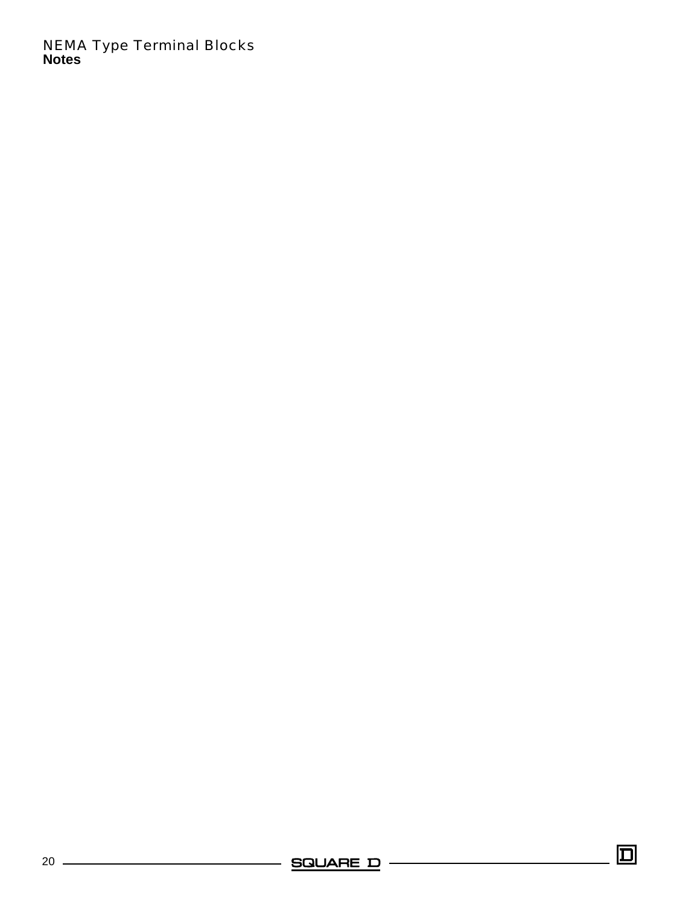NEMA Type Terminal Blocks **Notes**

 $\mathbf{D}$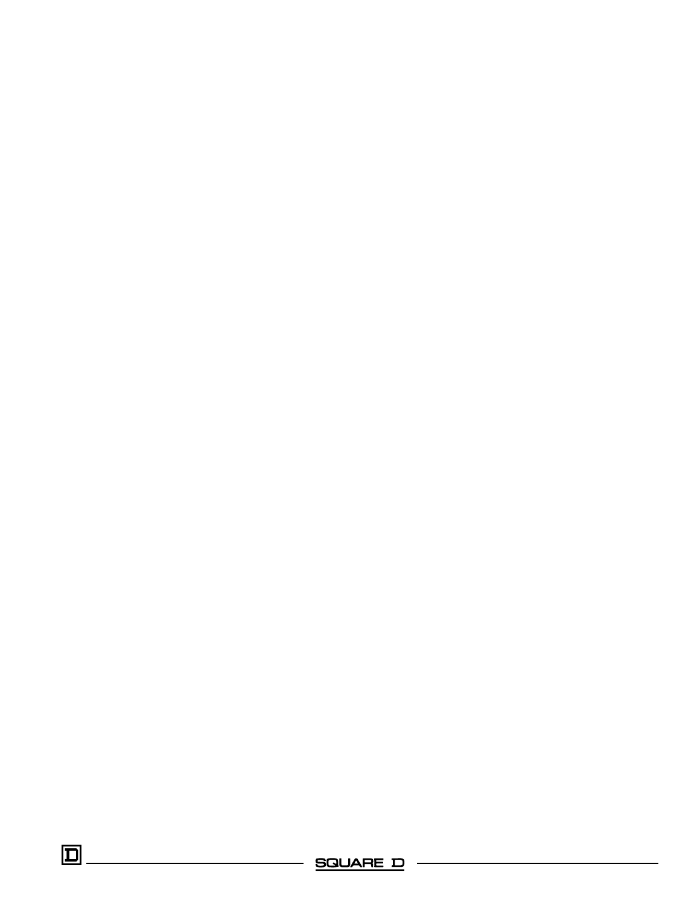<u>SQUARE D</u>

 $\mathbf{D}$